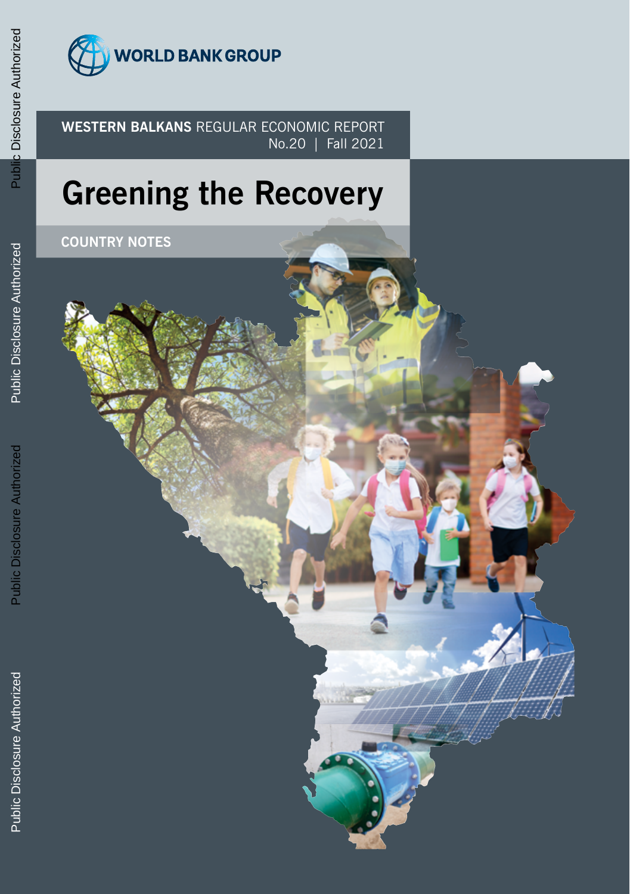

**WESTERN BALKANS** REGULAR ECONOMIC REPORT No.20 | Fall 2021

# **Greening the Recovery**

**COUNTRY NOTES**

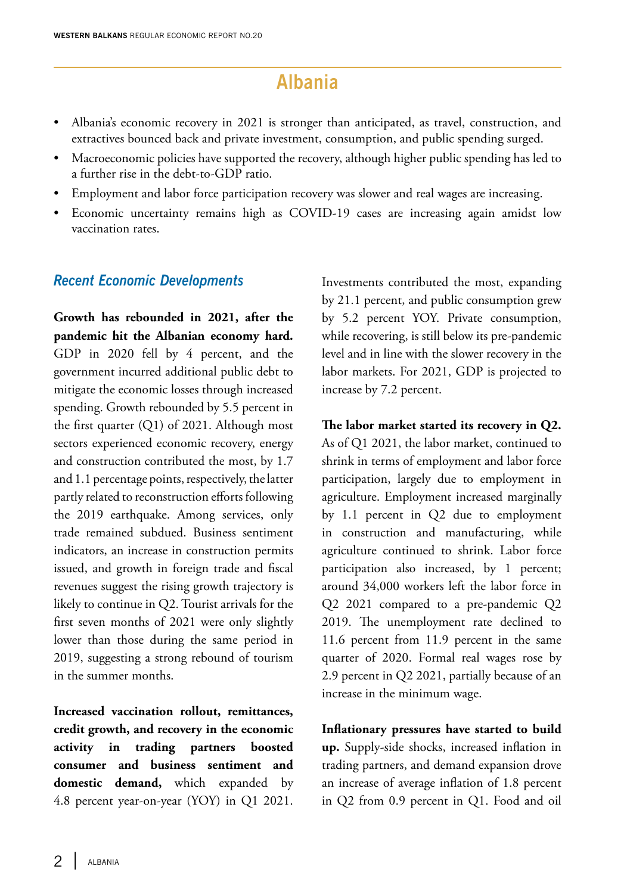# **Albania**

- Albania's economic recovery in 2021 is stronger than anticipated, as travel, construction, and extractives bounced back and private investment, consumption, and public spending surged.
- Macroeconomic policies have supported the recovery, although higher public spending has led to a further rise in the debt-to-GDP ratio.
- Employment and labor force participation recovery was slower and real wages are increasing.
- Economic uncertainty remains high as COVID-19 cases are increasing again amidst low vaccination rates.

#### *Recent Economic Developments*

**Growth has rebounded in 2021, after the pandemic hit the Albanian economy hard.**  GDP in 2020 fell by 4 percent, and the government incurred additional public debt to mitigate the economic losses through increased spending. Growth rebounded by 5.5 percent in the first quarter (Q1) of 2021. Although most sectors experienced economic recovery, energy and construction contributed the most, by 1.7 and 1.1 percentage points, respectively, the latter partly related to reconstruction efforts following the 2019 earthquake. Among services, only trade remained subdued. Business sentiment indicators, an increase in construction permits issued, and growth in foreign trade and fiscal revenues suggest the rising growth trajectory is likely to continue in Q2. Tourist arrivals for the first seven months of 2021 were only slightly lower than those during the same period in 2019, suggesting a strong rebound of tourism in the summer months.

**Increased vaccination rollout, remittances, credit growth, and recovery in the economic activity in trading partners boosted consumer and business sentiment and domestic demand,** which expanded by 4.8 percent year-on-year (YOY) in Q1 2021. Investments contributed the most, expanding by 21.1 percent, and public consumption grew by 5.2 percent YOY. Private consumption, while recovering, is still below its pre-pandemic level and in line with the slower recovery in the labor markets. For 2021, GDP is projected to increase by 7.2 percent.

**The labor market started its recovery in Q2.**  As of Q1 2021, the labor market, continued to shrink in terms of employment and labor force participation, largely due to employment in agriculture. Employment increased marginally by 1.1 percent in Q2 due to employment in construction and manufacturing, while agriculture continued to shrink. Labor force participation also increased, by 1 percent; around 34,000 workers left the labor force in Q2 2021 compared to a pre-pandemic Q2 2019. The unemployment rate declined to 11.6 percent from 11.9 percent in the same quarter of 2020. Formal real wages rose by 2.9 percent in Q2 2021, partially because of an increase in the minimum wage.

**Inflationary pressures have started to build up.** Supply-side shocks, increased inflation in trading partners, and demand expansion drove an increase of average inflation of 1.8 percent in Q2 from 0.9 percent in Q1. Food and oil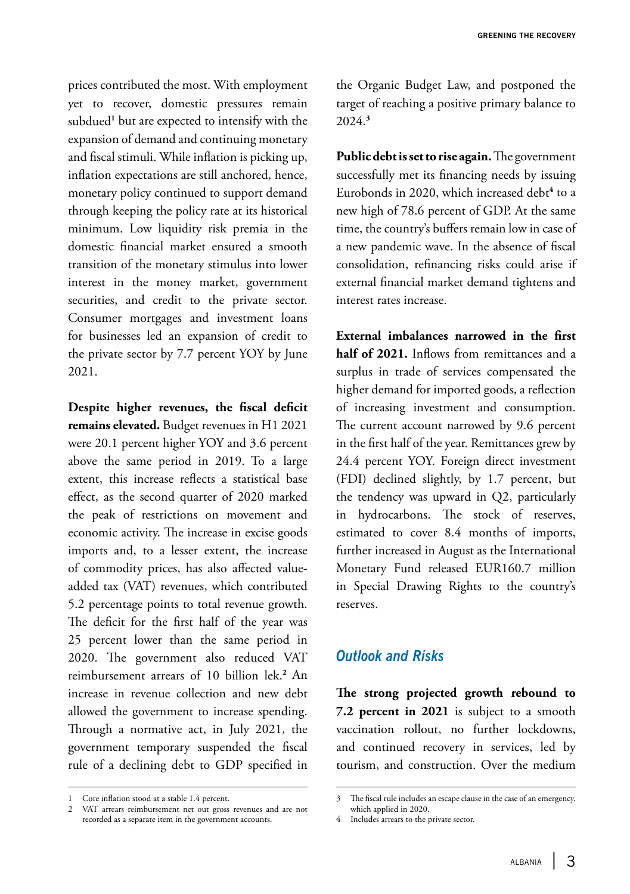prices contributed the most. With employment yet to recover, domestic pressures remain subdued**<sup>1</sup>** but are expected to intensify with the expansion of demand and continuing monetary and fiscal stimuli. While inflation is picking up, inflation expectations are still anchored, hence, monetary policy continued to support demand through keeping the policy rate at its historical minimum. Low liquidity risk premia in the domestic financial market ensured a smooth transition of the monetary stimulus into lower interest in the money market, government securities, and credit to the private sector. Consumer mortgages and investment loans for businesses led an expansion of credit to the private sector by 7.7 percent YOY by June 2021.

**Despite higher revenues, the fiscal deficit remains elevated.** Budget revenues in H1 2021 were 20.1 percent higher YOY and 3.6 percent above the same period in 2019. To a large extent, this increase reflects a statistical base effect, as the second quarter of 2020 marked the peak of restrictions on movement and economic activity. The increase in excise goods imports and, to a lesser extent, the increase of commodity prices, has also affected valueadded tax (VAT) revenues, which contributed 5.2 percentage points to total revenue growth. The deficit for the first half of the year was 25 percent lower than the same period in 2020. The government also reduced VAT reimbursement arrears of 10 billion lek.**<sup>2</sup>** An increase in revenue collection and new debt allowed the government to increase spending. Through a normative act, in July 2021, the government temporary suspended the fiscal rule of a declining debt to GDP specified in

the Organic Budget Law, and postponed the target of reaching a positive primary balance to 2024.**<sup>3</sup>**

**Public debt is set to rise again.** The government successfully met its financing needs by issuing Eurobonds in 2020, which increased debt**<sup>4</sup>** to a new high of 78.6 percent of GDP. At the same time, the country's buffers remain low in case of a new pandemic wave. In the absence of fiscal consolidation, refinancing risks could arise if external financial market demand tightens and interest rates increase.

**External imbalances narrowed in the first half of 2021.** Inflows from remittances and a surplus in trade of services compensated the higher demand for imported goods, a reflection of increasing investment and consumption. The current account narrowed by 9.6 percent in the first half of the year. Remittances grew by 24.4 percent YOY. Foreign direct investment (FDI) declined slightly, by 1.7 percent, but the tendency was upward in Q2, particularly in hydrocarbons. The stock of reserves, estimated to cover 8.4 months of imports, further increased in August as the International Monetary Fund released EUR160.7 million in Special Drawing Rights to the country's reserves.

### *Outlook and Risks*

**The strong projected growth rebound to 7.2 percent in 2021** is subject to a smooth vaccination rollout, no further lockdowns, and continued recovery in services, led by tourism, and construction. Over the medium

<sup>1</sup> Core inflation stood at a stable 1.4 percent.

<sup>2</sup> VAT arrears reimbursement net out gross revenues and are not recorded as a separate item in the government accounts.

<sup>3</sup> The fiscal rule includes an escape clause in the case of an emergency, which applied in 2020.

Includes arrears to the private sector.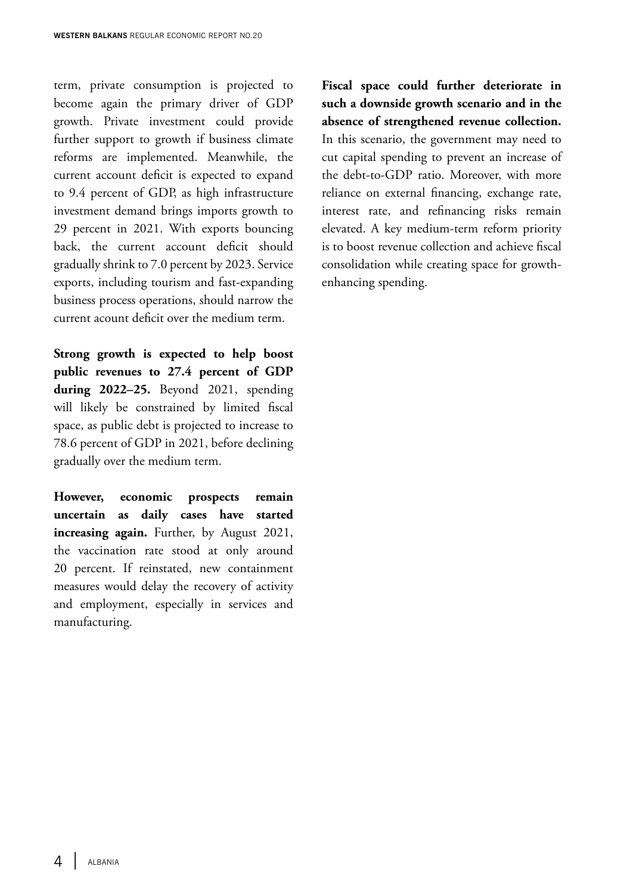term, private consumption is projected to become again the primary driver of GDP growth. Private investment could provide further support to growth if business climate reforms are implemented. Meanwhile, the current account deficit is expected to expand to 9.4 percent of GDP, as high infrastructure investment demand brings imports growth to 29 percent in 2021. With exports bouncing back, the current account deficit should gradually shrink to 7.0 percent by 2023. Service exports, including tourism and fast-expanding business process operations, should narrow the current acount deficit over the medium term.

**Strong growth is expected to help boost public revenues to 27.4 percent of GDP during 2022–25.** Beyond 2021, spending will likely be constrained by limited fiscal space, as public debt is projected to increase to 78.6 percent of GDP in 2021, before declining gradually over the medium term.

**However, economic prospects remain uncertain as daily cases have started increasing again.** Further, by August 2021, the vaccination rate stood at only around 20 percent. If reinstated, new containment measures would delay the recovery of activity and employment, especially in services and manufacturing.

**Fiscal space could further deteriorate in such a downside growth scenario and in the absence of strengthened revenue collection.**  In this scenario, the government may need to cut capital spending to prevent an increase of the debt-to-GDP ratio. Moreover, with more reliance on external financing, exchange rate, interest rate, and refinancing risks remain elevated. A key medium-term reform priority is to boost revenue collection and achieve fiscal consolidation while creating space for growthenhancing spending.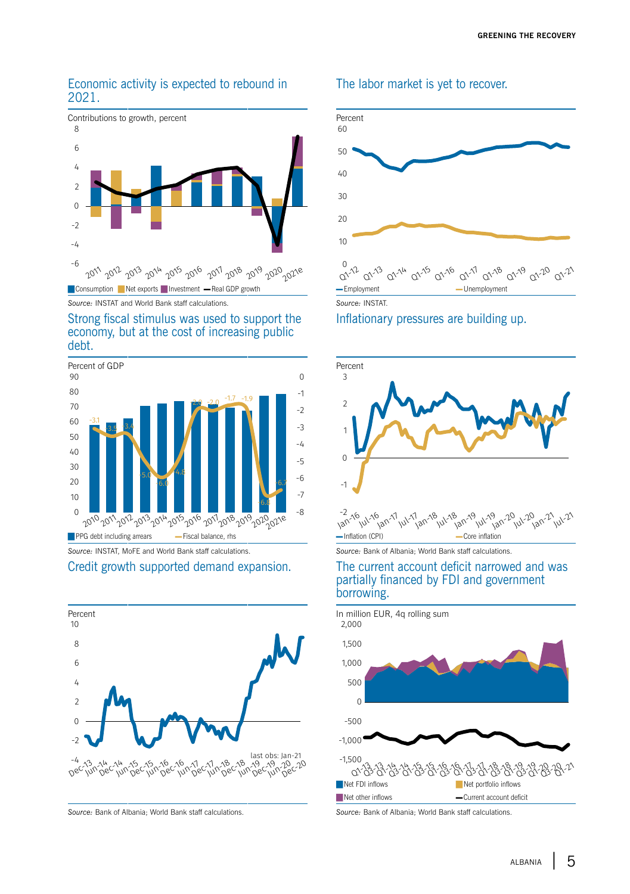#### Economic activity is expected to rebound in 2021.



*Source:* INSTAT and World Bank staff calculations. *Source:* INSTAT.

#### Strong fiscal stimulus was used to support the economy, but at the cost of increasing public debt.



*Source:* INSTAT, MoFE and World Bank staff calculations. *Source:* Bank of Albania; World Bank staff calculations.

#### Credit growth supported demand expansion. The current account deficit narrowed and was





#### The labor market is yet to recover.



-2  $30^{12}$  Jan-17

Jul-16

borrowing.

 $30 - 18$ 

partially financed by FDI and government

 $111 - 17$ 

#### Inflationary pressures are building up.



Jul-18 an-19

 $3^{120}$ 

 $J$ ul-20<br>Jul-20<br>Jan-21

Jul-21

 $v_{ij}$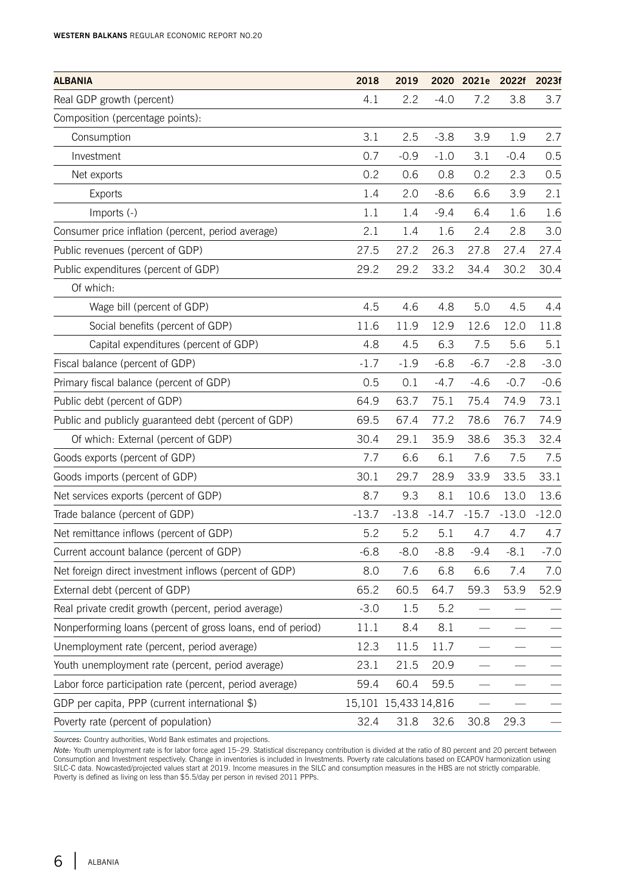| 4.1<br>2.2<br>$-4.0$<br>7.2<br>3.8<br>3.7<br>Real GDP growth (percent)<br>Composition (percentage points):<br>3.1<br>2.5<br>$-3.8$<br>3.9<br>Consumption<br>1.9<br>0.7<br>0.5<br>Investment<br>$-0.9$<br>$-1.0$<br>3.1<br>$-0.4$<br>0.2<br>0.6<br>0.8<br>0.2<br>2.3<br>0.5<br>Net exports<br>3.9<br>2.1<br>Exports<br>1.4<br>2.0<br>$-8.6$<br>6.6<br>Imports (-)<br>1.1<br>1.4<br>$-9.4$<br>6.4<br>1.6<br>1.6<br>3.0<br>Consumer price inflation (percent, period average)<br>2.1<br>2.4<br>2.8<br>1.4<br>1.6<br>Public revenues (percent of GDP)<br>27.5<br>26.3<br>27.2<br>27.8<br>27.4<br>27.4<br>Public expenditures (percent of GDP)<br>29.2<br>29.2<br>33.2<br>34.4<br>30.2<br>30.4<br>Of which:<br>Wage bill (percent of GDP)<br>4.5<br>4.6<br>4.8<br>5.0<br>4.5<br>4.4<br>Social benefits (percent of GDP)<br>11.6<br>11.9<br>12.9<br>12.6<br>12.0<br>11.8<br>5.1<br>Capital expenditures (percent of GDP)<br>4.8<br>4.5<br>6.3<br>7.5<br>5.6<br>Fiscal balance (percent of GDP)<br>$-1.7$<br>$-1.9$<br>$-6.8$<br>$-6.7$<br>$-2.8$<br>$-3.0$<br>Primary fiscal balance (percent of GDP)<br>0.5<br>0.1<br>$-4.7$<br>$-4.6$<br>$-0.7$<br>$-0.6$<br>Public debt (percent of GDP)<br>74.9<br>73.1<br>64.9<br>63.7<br>75.1<br>75.4<br>Public and publicly guaranteed debt (percent of GDP)<br>69.5<br>67.4<br>77.2<br>78.6<br>76.7<br>74.9<br>30.4<br>29.1<br>35.9<br>38.6<br>35.3<br>32.4<br>Of which: External (percent of GDP)<br>Goods exports (percent of GDP)<br>7.7<br>6.6<br>6.1<br>7.6<br>7.5<br>7.5<br>30.1<br>29.7<br>28.9<br>33.5<br>33.1<br>Goods imports (percent of GDP)<br>33.9 |
|----------------------------------------------------------------------------------------------------------------------------------------------------------------------------------------------------------------------------------------------------------------------------------------------------------------------------------------------------------------------------------------------------------------------------------------------------------------------------------------------------------------------------------------------------------------------------------------------------------------------------------------------------------------------------------------------------------------------------------------------------------------------------------------------------------------------------------------------------------------------------------------------------------------------------------------------------------------------------------------------------------------------------------------------------------------------------------------------------------------------------------------------------------------------------------------------------------------------------------------------------------------------------------------------------------------------------------------------------------------------------------------------------------------------------------------------------------------------------------------------------------------------------------------------------------------------------------------------------|
| 2.7                                                                                                                                                                                                                                                                                                                                                                                                                                                                                                                                                                                                                                                                                                                                                                                                                                                                                                                                                                                                                                                                                                                                                                                                                                                                                                                                                                                                                                                                                                                                                                                                |
|                                                                                                                                                                                                                                                                                                                                                                                                                                                                                                                                                                                                                                                                                                                                                                                                                                                                                                                                                                                                                                                                                                                                                                                                                                                                                                                                                                                                                                                                                                                                                                                                    |
|                                                                                                                                                                                                                                                                                                                                                                                                                                                                                                                                                                                                                                                                                                                                                                                                                                                                                                                                                                                                                                                                                                                                                                                                                                                                                                                                                                                                                                                                                                                                                                                                    |
|                                                                                                                                                                                                                                                                                                                                                                                                                                                                                                                                                                                                                                                                                                                                                                                                                                                                                                                                                                                                                                                                                                                                                                                                                                                                                                                                                                                                                                                                                                                                                                                                    |
|                                                                                                                                                                                                                                                                                                                                                                                                                                                                                                                                                                                                                                                                                                                                                                                                                                                                                                                                                                                                                                                                                                                                                                                                                                                                                                                                                                                                                                                                                                                                                                                                    |
|                                                                                                                                                                                                                                                                                                                                                                                                                                                                                                                                                                                                                                                                                                                                                                                                                                                                                                                                                                                                                                                                                                                                                                                                                                                                                                                                                                                                                                                                                                                                                                                                    |
|                                                                                                                                                                                                                                                                                                                                                                                                                                                                                                                                                                                                                                                                                                                                                                                                                                                                                                                                                                                                                                                                                                                                                                                                                                                                                                                                                                                                                                                                                                                                                                                                    |
|                                                                                                                                                                                                                                                                                                                                                                                                                                                                                                                                                                                                                                                                                                                                                                                                                                                                                                                                                                                                                                                                                                                                                                                                                                                                                                                                                                                                                                                                                                                                                                                                    |
|                                                                                                                                                                                                                                                                                                                                                                                                                                                                                                                                                                                                                                                                                                                                                                                                                                                                                                                                                                                                                                                                                                                                                                                                                                                                                                                                                                                                                                                                                                                                                                                                    |
|                                                                                                                                                                                                                                                                                                                                                                                                                                                                                                                                                                                                                                                                                                                                                                                                                                                                                                                                                                                                                                                                                                                                                                                                                                                                                                                                                                                                                                                                                                                                                                                                    |
|                                                                                                                                                                                                                                                                                                                                                                                                                                                                                                                                                                                                                                                                                                                                                                                                                                                                                                                                                                                                                                                                                                                                                                                                                                                                                                                                                                                                                                                                                                                                                                                                    |
|                                                                                                                                                                                                                                                                                                                                                                                                                                                                                                                                                                                                                                                                                                                                                                                                                                                                                                                                                                                                                                                                                                                                                                                                                                                                                                                                                                                                                                                                                                                                                                                                    |
|                                                                                                                                                                                                                                                                                                                                                                                                                                                                                                                                                                                                                                                                                                                                                                                                                                                                                                                                                                                                                                                                                                                                                                                                                                                                                                                                                                                                                                                                                                                                                                                                    |
|                                                                                                                                                                                                                                                                                                                                                                                                                                                                                                                                                                                                                                                                                                                                                                                                                                                                                                                                                                                                                                                                                                                                                                                                                                                                                                                                                                                                                                                                                                                                                                                                    |
|                                                                                                                                                                                                                                                                                                                                                                                                                                                                                                                                                                                                                                                                                                                                                                                                                                                                                                                                                                                                                                                                                                                                                                                                                                                                                                                                                                                                                                                                                                                                                                                                    |
|                                                                                                                                                                                                                                                                                                                                                                                                                                                                                                                                                                                                                                                                                                                                                                                                                                                                                                                                                                                                                                                                                                                                                                                                                                                                                                                                                                                                                                                                                                                                                                                                    |
|                                                                                                                                                                                                                                                                                                                                                                                                                                                                                                                                                                                                                                                                                                                                                                                                                                                                                                                                                                                                                                                                                                                                                                                                                                                                                                                                                                                                                                                                                                                                                                                                    |
|                                                                                                                                                                                                                                                                                                                                                                                                                                                                                                                                                                                                                                                                                                                                                                                                                                                                                                                                                                                                                                                                                                                                                                                                                                                                                                                                                                                                                                                                                                                                                                                                    |
|                                                                                                                                                                                                                                                                                                                                                                                                                                                                                                                                                                                                                                                                                                                                                                                                                                                                                                                                                                                                                                                                                                                                                                                                                                                                                                                                                                                                                                                                                                                                                                                                    |
|                                                                                                                                                                                                                                                                                                                                                                                                                                                                                                                                                                                                                                                                                                                                                                                                                                                                                                                                                                                                                                                                                                                                                                                                                                                                                                                                                                                                                                                                                                                                                                                                    |
|                                                                                                                                                                                                                                                                                                                                                                                                                                                                                                                                                                                                                                                                                                                                                                                                                                                                                                                                                                                                                                                                                                                                                                                                                                                                                                                                                                                                                                                                                                                                                                                                    |
| Net services exports (percent of GDP)<br>8.7<br>9.3<br>8.1<br>10.6<br>13.0<br>13.6                                                                                                                                                                                                                                                                                                                                                                                                                                                                                                                                                                                                                                                                                                                                                                                                                                                                                                                                                                                                                                                                                                                                                                                                                                                                                                                                                                                                                                                                                                                 |
| Trade balance (percent of GDP)<br>$-13.7$<br>$-13.8$<br>$-14.7$<br>$-15.7$<br>$-13.0$<br>$-12.0$                                                                                                                                                                                                                                                                                                                                                                                                                                                                                                                                                                                                                                                                                                                                                                                                                                                                                                                                                                                                                                                                                                                                                                                                                                                                                                                                                                                                                                                                                                   |
| Net remittance inflows (percent of GDP)<br>5.2<br>5.2<br>5.1<br>4.7<br>4.7<br>4.7                                                                                                                                                                                                                                                                                                                                                                                                                                                                                                                                                                                                                                                                                                                                                                                                                                                                                                                                                                                                                                                                                                                                                                                                                                                                                                                                                                                                                                                                                                                  |
| Current account balance (percent of GDP)<br>$-6.8$<br>$-8.0$<br>$-8.8$<br>$-9.4$<br>$-8.1$<br>$-7.0$                                                                                                                                                                                                                                                                                                                                                                                                                                                                                                                                                                                                                                                                                                                                                                                                                                                                                                                                                                                                                                                                                                                                                                                                                                                                                                                                                                                                                                                                                               |
| Net foreign direct investment inflows (percent of GDP)<br>8.0<br>7.6<br>6.6<br>7.4<br>7.0<br>6.8                                                                                                                                                                                                                                                                                                                                                                                                                                                                                                                                                                                                                                                                                                                                                                                                                                                                                                                                                                                                                                                                                                                                                                                                                                                                                                                                                                                                                                                                                                   |
| 65.2<br>External debt (percent of GDP)<br>60.5<br>64.7<br>59.3<br>53.9<br>52.9                                                                                                                                                                                                                                                                                                                                                                                                                                                                                                                                                                                                                                                                                                                                                                                                                                                                                                                                                                                                                                                                                                                                                                                                                                                                                                                                                                                                                                                                                                                     |
| Real private credit growth (percent, period average)<br>$-3.0$<br>1.5<br>5.2                                                                                                                                                                                                                                                                                                                                                                                                                                                                                                                                                                                                                                                                                                                                                                                                                                                                                                                                                                                                                                                                                                                                                                                                                                                                                                                                                                                                                                                                                                                       |
| Nonperforming loans (percent of gross loans, end of period)<br>8.4<br>8.1<br>11.1                                                                                                                                                                                                                                                                                                                                                                                                                                                                                                                                                                                                                                                                                                                                                                                                                                                                                                                                                                                                                                                                                                                                                                                                                                                                                                                                                                                                                                                                                                                  |
| 12.3<br>Unemployment rate (percent, period average)<br>11.5<br>11.7                                                                                                                                                                                                                                                                                                                                                                                                                                                                                                                                                                                                                                                                                                                                                                                                                                                                                                                                                                                                                                                                                                                                                                                                                                                                                                                                                                                                                                                                                                                                |
| 20.9<br>Youth unemployment rate (percent, period average)<br>23.1<br>21.5                                                                                                                                                                                                                                                                                                                                                                                                                                                                                                                                                                                                                                                                                                                                                                                                                                                                                                                                                                                                                                                                                                                                                                                                                                                                                                                                                                                                                                                                                                                          |
| Labor force participation rate (percent, period average)<br>59.4<br>59.5<br>60.4                                                                                                                                                                                                                                                                                                                                                                                                                                                                                                                                                                                                                                                                                                                                                                                                                                                                                                                                                                                                                                                                                                                                                                                                                                                                                                                                                                                                                                                                                                                   |
| GDP per capita, PPP (current international \$)<br>15,101 15,433 14,816                                                                                                                                                                                                                                                                                                                                                                                                                                                                                                                                                                                                                                                                                                                                                                                                                                                                                                                                                                                                                                                                                                                                                                                                                                                                                                                                                                                                                                                                                                                             |
| Poverty rate (percent of population)<br>32.4<br>31.8<br>32.6<br>29.3<br>30.8                                                                                                                                                                                                                                                                                                                                                                                                                                                                                                                                                                                                                                                                                                                                                                                                                                                                                                                                                                                                                                                                                                                                                                                                                                                                                                                                                                                                                                                                                                                       |

*Sources:* Country authorities, World Bank estimates and projections.

*Note:* Youth unemployment rate is for labor force aged 15–29. Statistical discrepancy contribution is divided at the ratio of 80 percent and 20 percent between<br>Consumption and Investment respectively. Change in inventorie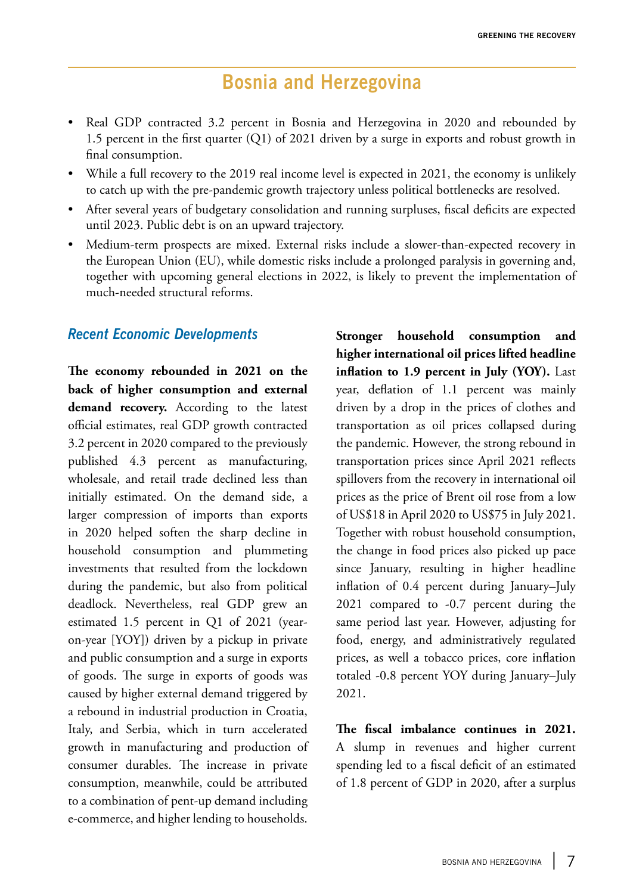# **Bosnia and Herzegovina**

- Real GDP contracted 3.2 percent in Bosnia and Herzegovina in 2020 and rebounded by 1.5 percent in the first quarter (Q1) of 2021 driven by a surge in exports and robust growth in final consumption.
- While a full recovery to the 2019 real income level is expected in 2021, the economy is unlikely to catch up with the pre-pandemic growth trajectory unless political bottlenecks are resolved.
- After several years of budgetary consolidation and running surpluses, fiscal deficits are expected until 2023. Public debt is on an upward trajectory.
- Medium-term prospects are mixed. External risks include a slower-than-expected recovery in the European Union (EU), while domestic risks include a prolonged paralysis in governing and, together with upcoming general elections in 2022, is likely to prevent the implementation of much-needed structural reforms.

### *Recent Economic Developments*

**The economy rebounded in 2021 on the back of higher consumption and external demand recovery.** According to the latest official estimates, real GDP growth contracted 3.2 percent in 2020 compared to the previously published 4.3 percent as manufacturing, wholesale, and retail trade declined less than initially estimated. On the demand side, a larger compression of imports than exports in 2020 helped soften the sharp decline in household consumption and plummeting investments that resulted from the lockdown during the pandemic, but also from political deadlock. Nevertheless, real GDP grew an estimated 1.5 percent in Q1 of 2021 (yearon-year [YOY]) driven by a pickup in private and public consumption and a surge in exports of goods. The surge in exports of goods was caused by higher external demand triggered by a rebound in industrial production in Croatia, Italy, and Serbia, which in turn accelerated growth in manufacturing and production of consumer durables. The increase in private consumption, meanwhile, could be attributed to a combination of pent-up demand including e-commerce, and higher lending to households.

**Stronger household consumption and higher international oil prices lifted headline inflation to 1.9 percent in July (YOY).** Last year, deflation of 1.1 percent was mainly driven by a drop in the prices of clothes and transportation as oil prices collapsed during the pandemic. However, the strong rebound in transportation prices since April 2021 reflects spillovers from the recovery in international oil prices as the price of Brent oil rose from a low of US\$18 in April 2020 to US\$75 in July 2021. Together with robust household consumption, the change in food prices also picked up pace since January, resulting in higher headline inflation of 0.4 percent during January–July 2021 compared to -0.7 percent during the same period last year. However, adjusting for food, energy, and administratively regulated prices, as well a tobacco prices, core inflation totaled -0.8 percent YOY during January–July 2021.

**The fiscal imbalance continues in 2021.**  A slump in revenues and higher current spending led to a fiscal deficit of an estimated of 1.8 percent of GDP in 2020, after a surplus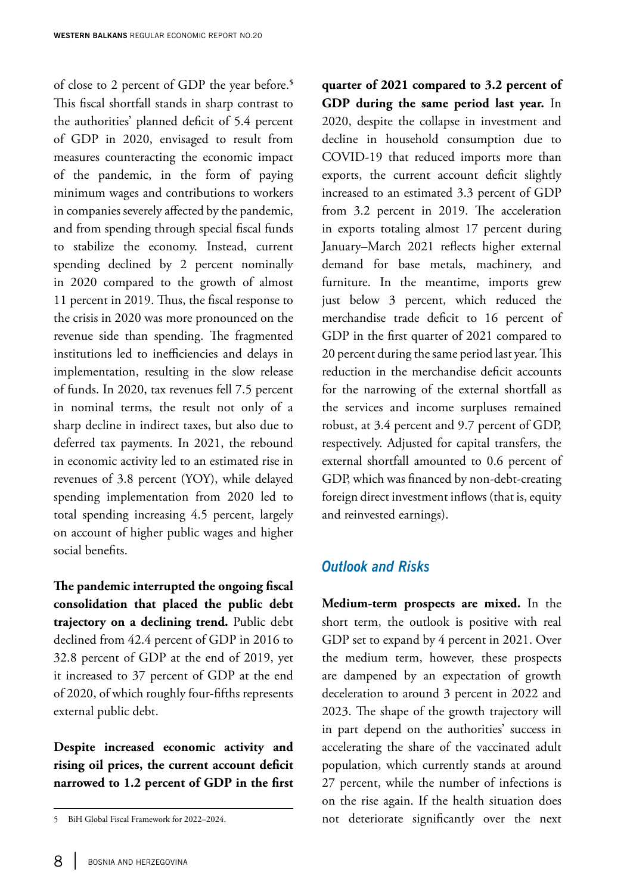of close to 2 percent of GDP the year before.**<sup>5</sup>** This fiscal shortfall stands in sharp contrast to the authorities' planned deficit of 5.4 percent of GDP in 2020, envisaged to result from measures counteracting the economic impact of the pandemic, in the form of paying minimum wages and contributions to workers in companies severely affected by the pandemic, and from spending through special fiscal funds to stabilize the economy. Instead, current spending declined by 2 percent nominally in 2020 compared to the growth of almost 11 percent in 2019. Thus, the fiscal response to the crisis in 2020 was more pronounced on the revenue side than spending. The fragmented institutions led to inefficiencies and delays in implementation, resulting in the slow release of funds. In 2020, tax revenues fell 7.5 percent in nominal terms, the result not only of a sharp decline in indirect taxes, but also due to deferred tax payments. In 2021, the rebound in economic activity led to an estimated rise in revenues of 3.8 percent (YOY), while delayed spending implementation from 2020 led to total spending increasing 4.5 percent, largely on account of higher public wages and higher social benefits.

**The pandemic interrupted the ongoing fiscal consolidation that placed the public debt trajectory on a declining trend.** Public debt declined from 42.4 percent of GDP in 2016 to 32.8 percent of GDP at the end of 2019, yet it increased to 37 percent of GDP at the end of 2020, of which roughly four-fifths represents external public debt.

**Despite increased economic activity and rising oil prices, the current account deficit narrowed to 1.2 percent of GDP in the first**  **quarter of 2021 compared to 3.2 percent of GDP during the same period last year.** In 2020, despite the collapse in investment and decline in household consumption due to COVID-19 that reduced imports more than exports, the current account deficit slightly increased to an estimated 3.3 percent of GDP from 3.2 percent in 2019. The acceleration in exports totaling almost 17 percent during January–March 2021 reflects higher external demand for base metals, machinery, and furniture. In the meantime, imports grew just below 3 percent, which reduced the merchandise trade deficit to 16 percent of GDP in the first quarter of 2021 compared to 20 percent during the same period last year. This reduction in the merchandise deficit accounts for the narrowing of the external shortfall as the services and income surpluses remained robust, at 3.4 percent and 9.7 percent of GDP, respectively. Adjusted for capital transfers, the external shortfall amounted to 0.6 percent of GDP, which was financed by non-debt-creating foreign direct investment inflows (that is, equity and reinvested earnings).

#### *Outlook and Risks*

**Medium-term prospects are mixed.** In the short term, the outlook is positive with real GDP set to expand by 4 percent in 2021. Over the medium term, however, these prospects are dampened by an expectation of growth deceleration to around 3 percent in 2022 and 2023. The shape of the growth trajectory will in part depend on the authorities' success in accelerating the share of the vaccinated adult population, which currently stands at around 27 percent, while the number of infections is on the rise again. If the health situation does not deteriorate significantly over the next

<sup>5</sup> BiH Global Fiscal Framework for 2022–2024.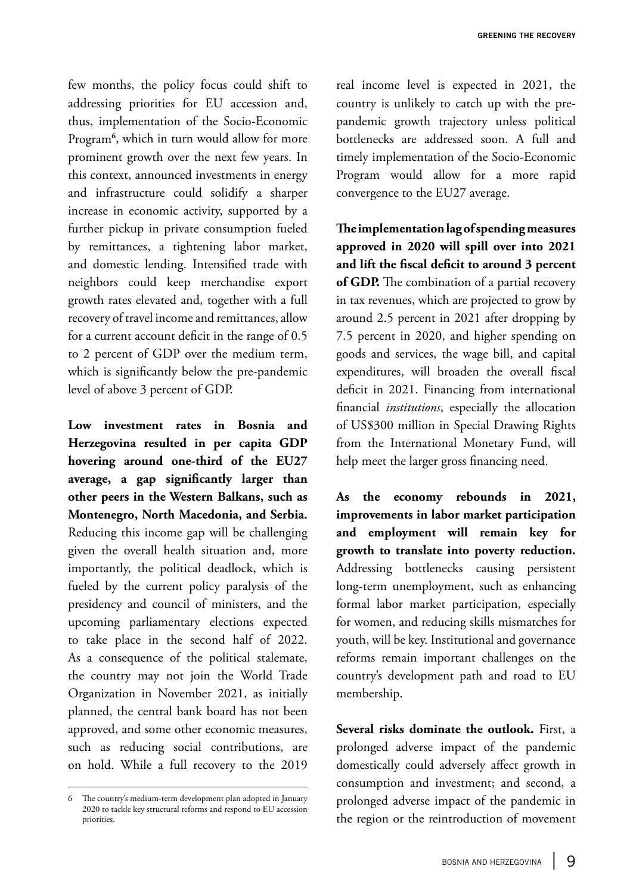few months, the policy focus could shift to addressing priorities for EU accession and, thus, implementation of the Socio-Economic Program**<sup>6</sup>** , which in turn would allow for more prominent growth over the next few years. In this context, announced investments in energy and infrastructure could solidify a sharper increase in economic activity, supported by a further pickup in private consumption fueled by remittances, a tightening labor market, and domestic lending. Intensified trade with neighbors could keep merchandise export growth rates elevated and, together with a full recovery of travel income and remittances, allow for a current account deficit in the range of 0.5 to 2 percent of GDP over the medium term, which is significantly below the pre-pandemic level of above 3 percent of GDP.

**Low investment rates in Bosnia and Herzegovina resulted in per capita GDP hovering around one-third of the EU27 average, a gap significantly larger than other peers in the Western Balkans, such as Montenegro, North Macedonia, and Serbia.**  Reducing this income gap will be challenging given the overall health situation and, more importantly, the political deadlock, which is fueled by the current policy paralysis of the presidency and council of ministers, and the upcoming parliamentary elections expected to take place in the second half of 2022. As a consequence of the political stalemate, the country may not join the World Trade Organization in November 2021, as initially planned, the central bank board has not been approved, and some other economic measures, such as reducing social contributions, are on hold. While a full recovery to the 2019 real income level is expected in 2021, the country is unlikely to catch up with the prepandemic growth trajectory unless political bottlenecks are addressed soon. A full and timely implementation of the Socio-Economic Program would allow for a more rapid convergence to the EU27 average.

**The implementation lag of spending measures approved in 2020 will spill over into 2021 and lift the fiscal deficit to around 3 percent of GDP.** The combination of a partial recovery in tax revenues, which are projected to grow by around 2.5 percent in 2021 after dropping by 7.5 percent in 2020, and higher spending on goods and services, the wage bill, and capital expenditures, will broaden the overall fiscal deficit in 2021. Financing from international financial *institutions*, especially the allocation of US\$300 million in Special Drawing Rights from the International Monetary Fund, will help meet the larger gross financing need.

**As the economy rebounds in 2021, improvements in labor market participation and employment will remain key for growth to translate into poverty reduction.**  Addressing bottlenecks causing persistent long-term unemployment, such as enhancing formal labor market participation, especially for women, and reducing skills mismatches for youth, will be key. Institutional and governance reforms remain important challenges on the country's development path and road to EU membership.

**Several risks dominate the outlook.** First, a prolonged adverse impact of the pandemic domestically could adversely affect growth in consumption and investment; and second, a prolonged adverse impact of the pandemic in the region or the reintroduction of movement

<sup>6</sup> The country's medium-term development plan adopted in January 2020 to tackle key structural reforms and respond to EU accession priorities.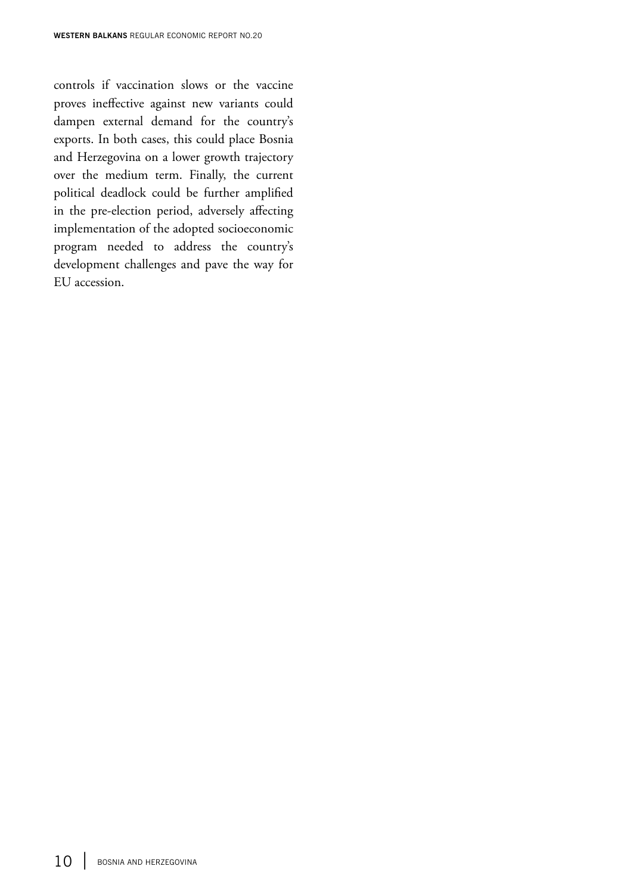controls if vaccination slows or the vaccine proves ineffective against new variants could dampen external demand for the country's exports. In both cases, this could place Bosnia and Herzegovina on a lower growth trajectory over the medium term. Finally, the current political deadlock could be further amplified in the pre-election period, adversely affecting implementation of the adopted socioeconomic program needed to address the country's development challenges and pave the way for EU accession.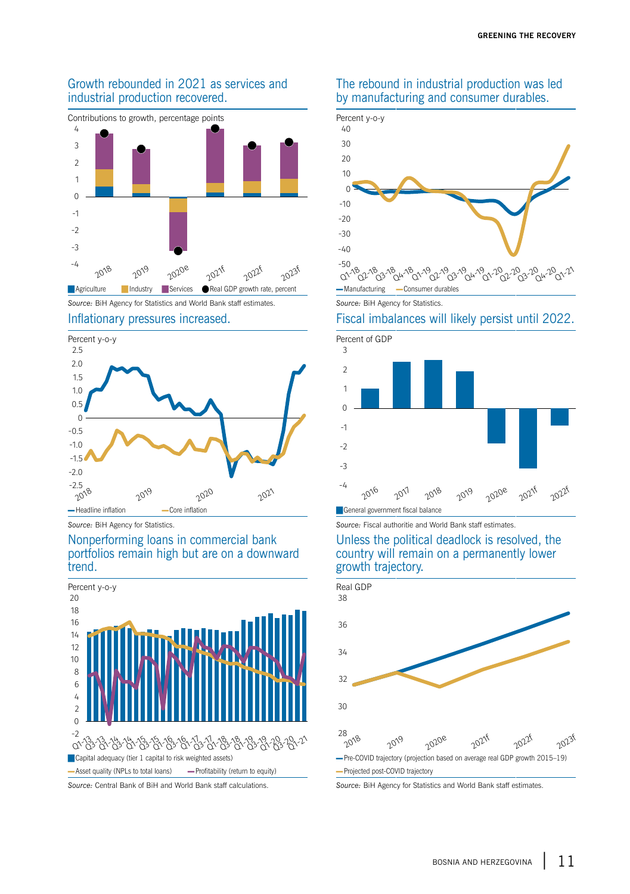

#### Growth rebounded in 2021 as services and industrial production recovered.

*Source:* BiH Agency for Statistics and World Bank staff estimates. *Source:* BiH Agency for Statistics.



#### Nonperforming loans in commercial bank portfolios remain high but are on a downward trend.



#### The rebound in industrial production was led by manufacturing and consumer durables.



#### Inflationary pressures increased. Fiscal imbalances will likely persist until 2022.



**Source: BiH Agency for Statistics. Source: Fiscal authoritie and World Bank staff estimates** 

#### Unless the political deadlock is resolved, the country will remain on a permanently lower growth trajectory.



*Source:* Central Bank of BiH and World Bank staff calculations. *Source:* BiH Agency for Statistics and World Bank staff estimates.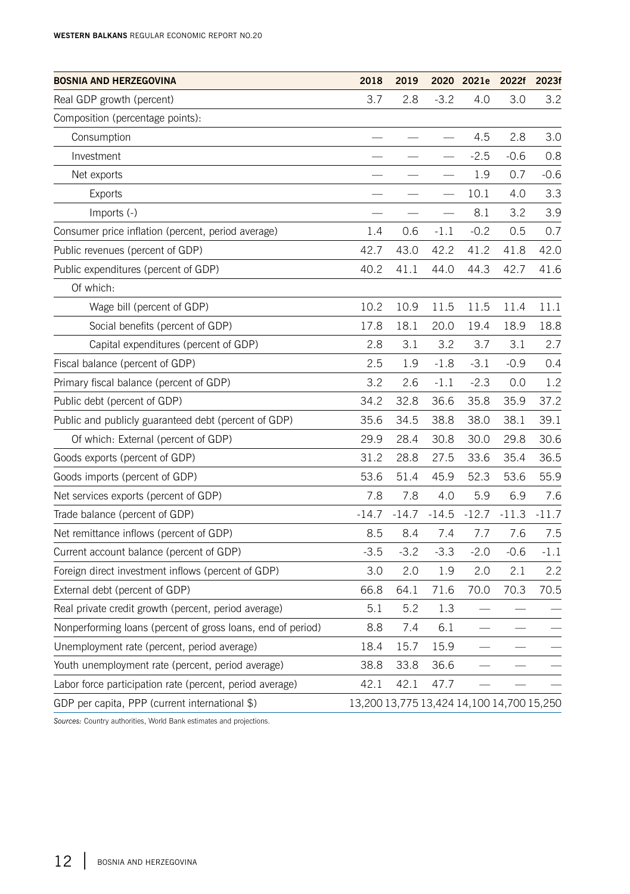| <b>BOSNIA AND HERZEGOVINA</b>                               | 2018                                      | 2019    |         | 2020 2021e | 2022f   | 2023f   |
|-------------------------------------------------------------|-------------------------------------------|---------|---------|------------|---------|---------|
| Real GDP growth (percent)                                   | 3.7                                       | 2.8     | $-3.2$  | 4.0        | 3.0     | 3.2     |
| Composition (percentage points):                            |                                           |         |         |            |         |         |
| Consumption                                                 |                                           |         |         | 4.5        | 2.8     | 3.0     |
| Investment                                                  |                                           |         |         | $-2.5$     | $-0.6$  | 0.8     |
| Net exports                                                 |                                           |         |         | 1.9        | 0.7     | $-0.6$  |
| Exports                                                     |                                           |         |         | 10.1       | 4.0     | 3.3     |
| Imports (-)                                                 |                                           |         |         | 8.1        | 3.2     | 3.9     |
| Consumer price inflation (percent, period average)          | 1.4                                       | 0.6     | $-1.1$  | $-0.2$     | 0.5     | 0.7     |
| Public revenues (percent of GDP)                            | 42.7                                      | 43.0    | 42.2    | 41.2       | 41.8    | 42.0    |
| Public expenditures (percent of GDP)                        | 40.2                                      | 41.1    | 44.0    | 44.3       | 42.7    | 41.6    |
| Of which:                                                   |                                           |         |         |            |         |         |
| Wage bill (percent of GDP)                                  | 10.2                                      | 10.9    | 11.5    | 11.5       | 11.4    | 11.1    |
| Social benefits (percent of GDP)                            | 17.8                                      | 18.1    | 20.0    | 19.4       | 18.9    | 18.8    |
| Capital expenditures (percent of GDP)                       | 2.8                                       | 3.1     | 3.2     | 3.7        | 3.1     | 2.7     |
| Fiscal balance (percent of GDP)                             | 2.5                                       | 1.9     | $-1.8$  | $-3.1$     | $-0.9$  | 0.4     |
| Primary fiscal balance (percent of GDP)                     | 3.2                                       | 2.6     | $-1.1$  | $-2.3$     | 0.0     | 1.2     |
| Public debt (percent of GDP)                                | 34.2                                      | 32.8    | 36.6    | 35.8       | 35.9    | 37.2    |
| Public and publicly guaranteed debt (percent of GDP)        | 35.6                                      | 34.5    | 38.8    | 38.0       | 38.1    | 39.1    |
| Of which: External (percent of GDP)                         | 29.9                                      | 28.4    | 30.8    | 30.0       | 29.8    | 30.6    |
| Goods exports (percent of GDP)                              | 31.2                                      | 28.8    | 27.5    | 33.6       | 35.4    | 36.5    |
| Goods imports (percent of GDP)                              | 53.6                                      | 51.4    | 45.9    | 52.3       | 53.6    | 55.9    |
| Net services exports (percent of GDP)                       | 7.8                                       | 7.8     | 4.0     | 5.9        | 6.9     | 7.6     |
| Trade balance (percent of GDP)                              | $-14.7$                                   | $-14.7$ | $-14.5$ | $-12.7$    | $-11.3$ | $-11.7$ |
| Net remittance inflows (percent of GDP)                     | 8.5                                       | 8.4     | 7.4     | 7.7        | 7.6     | 7.5     |
| Current account balance (percent of GDP)                    | $-3.5$                                    | $-3.2$  | $-3.3$  | $-2.0$     | $-0.6$  | $-1.1$  |
| Foreign direct investment inflows (percent of GDP)          | 3.0                                       | 2.0     | 1.9     | 2.0        | 2.1     | 2.2     |
| External debt (percent of GDP)                              | 66.8                                      | 64.1    | 71.6    | 70.0       | 70.3    | 70.5    |
| Real private credit growth (percent, period average)        | 5.1                                       | 5.2     | 1.3     |            |         |         |
| Nonperforming loans (percent of gross loans, end of period) | 8.8                                       | 7.4     | 6.1     |            |         |         |
| Unemployment rate (percent, period average)                 | 18.4                                      | 15.7    | 15.9    |            |         |         |
| Youth unemployment rate (percent, period average)           | 38.8                                      | 33.8    | 36.6    |            |         |         |
| Labor force participation rate (percent, period average)    | 42.1                                      | 42.1    | 47.7    |            |         |         |
| GDP per capita, PPP (current international \$)              | 13,200 13,775 13,424 14,100 14,700 15,250 |         |         |            |         |         |

*Sources:* Country authorities, World Bank estimates and projections.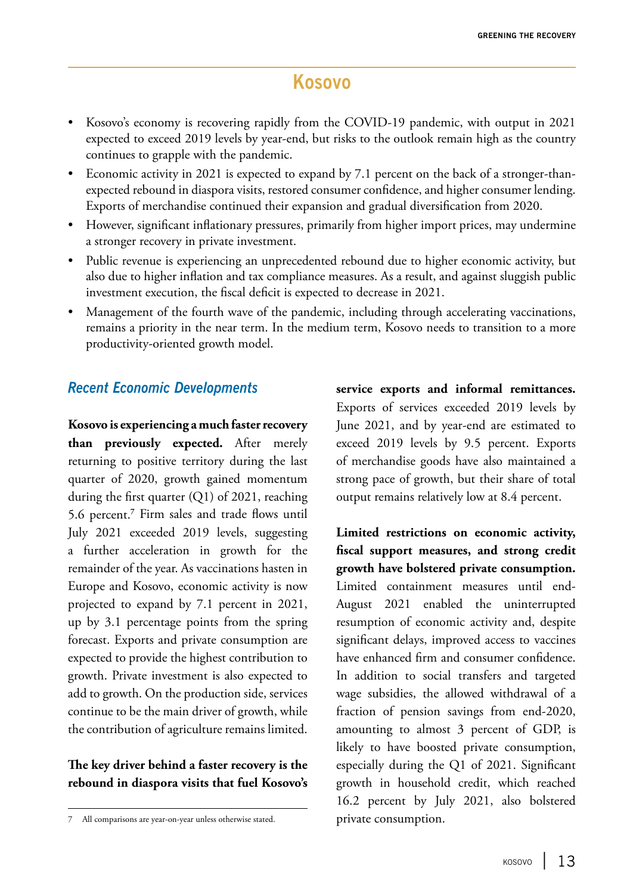## **Kosovo**

- Kosovo's economy is recovering rapidly from the COVID-19 pandemic, with output in 2021 expected to exceed 2019 levels by year-end, but risks to the outlook remain high as the country continues to grapple with the pandemic.
- Economic activity in 2021 is expected to expand by 7.1 percent on the back of a stronger-thanexpected rebound in diaspora visits, restored consumer confidence, and higher consumer lending. Exports of merchandise continued their expansion and gradual diversification from 2020.
- However, significant inflationary pressures, primarily from higher import prices, may undermine a stronger recovery in private investment.
- Public revenue is experiencing an unprecedented rebound due to higher economic activity, but also due to higher inflation and tax compliance measures. As a result, and against sluggish public investment execution, the fiscal deficit is expected to decrease in 2021.
- Management of the fourth wave of the pandemic, including through accelerating vaccinations, remains a priority in the near term. In the medium term, Kosovo needs to transition to a more productivity-oriented growth model.

### *Recent Economic Developments*

**Kosovo is experiencing a much faster recovery than previously expected.** After merely returning to positive territory during the last quarter of 2020, growth gained momentum during the first quarter (Q1) of 2021, reaching 5.6 percent.**<sup>7</sup>** Firm sales and trade flows until July 2021 exceeded 2019 levels, suggesting a further acceleration in growth for the remainder of the year. As vaccinations hasten in Europe and Kosovo, economic activity is now projected to expand by 7.1 percent in 2021, up by 3.1 percentage points from the spring forecast. Exports and private consumption are expected to provide the highest contribution to growth. Private investment is also expected to add to growth. On the production side, services continue to be the main driver of growth, while the contribution of agriculture remains limited.

#### **The key driver behind a faster recovery is the rebound in diaspora visits that fuel Kosovo's**

**service exports and informal remittances.**  Exports of services exceeded 2019 levels by June 2021, and by year-end are estimated to exceed 2019 levels by 9.5 percent. Exports of merchandise goods have also maintained a strong pace of growth, but their share of total output remains relatively low at 8.4 percent.

**Limited restrictions on economic activity, fiscal support measures, and strong credit growth have bolstered private consumption.**  Limited containment measures until end-August 2021 enabled the uninterrupted resumption of economic activity and, despite significant delays, improved access to vaccines have enhanced firm and consumer confidence. In addition to social transfers and targeted wage subsidies, the allowed withdrawal of a fraction of pension savings from end-2020, amounting to almost 3 percent of GDP, is likely to have boosted private consumption, especially during the Q1 of 2021. Significant growth in household credit, which reached 16.2 percent by July 2021, also bolstered private consumption.

<sup>7</sup> All comparisons are year-on-year unless otherwise stated.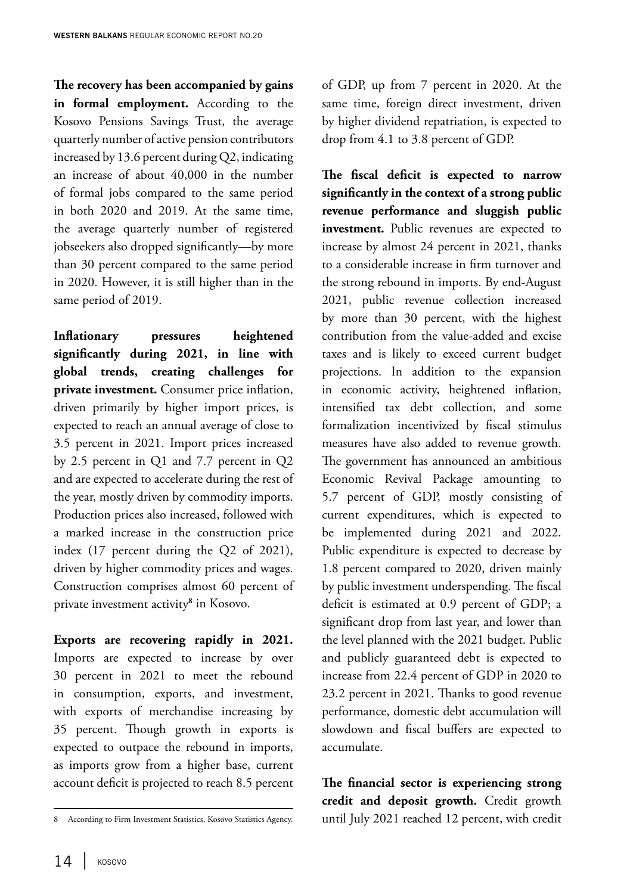**The recovery has been accompanied by gains in formal employment.** According to the Kosovo Pensions Savings Trust, the average quarterly number of active pension contributors increased by 13.6 percent during Q2, indicating an increase of about 40,000 in the number of formal jobs compared to the same period in both 2020 and 2019. At the same time, the average quarterly number of registered jobseekers also dropped significantly—by more than 30 percent compared to the same period in 2020. However, it is still higher than in the same period of 2019.

**Inflationary pressures heightened significantly during 2021, in line with global trends, creating challenges for private investment.** Consumer price inflation, driven primarily by higher import prices, is expected to reach an annual average of close to 3.5 percent in 2021. Import prices increased by 2.5 percent in Q1 and 7.7 percent in Q2 and are expected to accelerate during the rest of the year, mostly driven by commodity imports. Production prices also increased, followed with a marked increase in the construction price index (17 percent during the Q2 of 2021), driven by higher commodity prices and wages. Construction comprises almost 60 percent of private investment activity**<sup>8</sup>** in Kosovo.

**Exports are recovering rapidly in 2021.**  Imports are expected to increase by over 30 percent in 2021 to meet the rebound in consumption, exports, and investment, with exports of merchandise increasing by 35 percent. Though growth in exports is expected to outpace the rebound in imports, as imports grow from a higher base, current account deficit is projected to reach 8.5 percent of GDP, up from 7 percent in 2020. At the same time, foreign direct investment, driven by higher dividend repatriation, is expected to drop from 4.1 to 3.8 percent of GDP.

**The fiscal deficit is expected to narrow significantly in the context of a strong public revenue performance and sluggish public investment.** Public revenues are expected to increase by almost 24 percent in 2021, thanks to a considerable increase in firm turnover and the strong rebound in imports. By end-August 2021, public revenue collection increased by more than 30 percent, with the highest contribution from the value-added and excise taxes and is likely to exceed current budget projections. In addition to the expansion in economic activity, heightened inflation, intensified tax debt collection, and some formalization incentivized by fiscal stimulus measures have also added to revenue growth. The government has announced an ambitious Economic Revival Package amounting to 5.7 percent of GDP, mostly consisting of current expenditures, which is expected to be implemented during 2021 and 2022. Public expenditure is expected to decrease by 1.8 percent compared to 2020, driven mainly by public investment underspending. The fiscal deficit is estimated at 0.9 percent of GDP; a significant drop from last year, and lower than the level planned with the 2021 budget. Public and publicly guaranteed debt is expected to increase from 22.4 percent of GDP in 2020 to 23.2 percent in 2021. Thanks to good revenue performance, domestic debt accumulation will slowdown and fiscal buffers are expected to accumulate.

**The financial sector is experiencing strong credit and deposit growth.** Credit growth until July 2021 reached 12 percent, with credit

<sup>8</sup> According to Firm Investment Statistics, Kosovo Statistics Agency.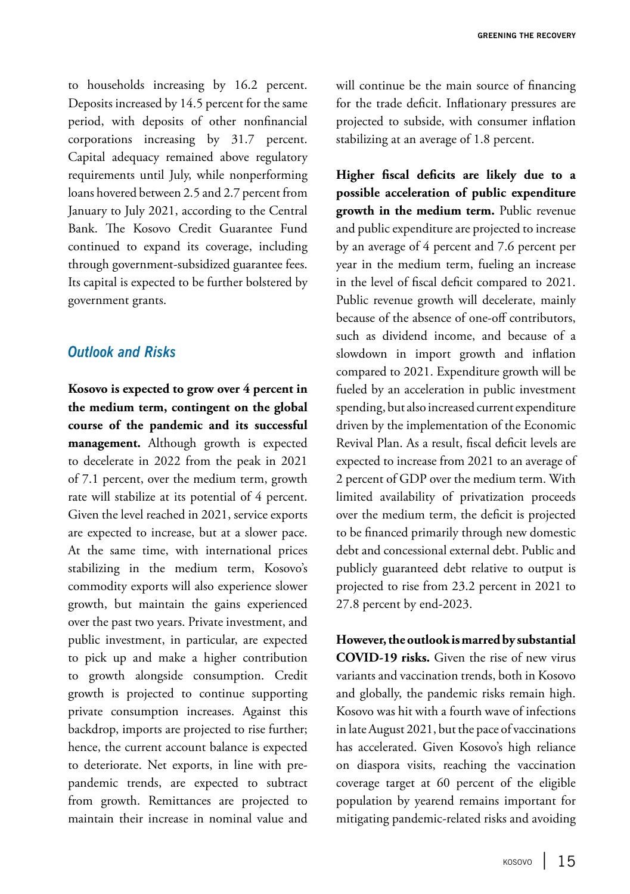to households increasing by 16.2 percent. Deposits increased by 14.5 percent for the same period, with deposits of other nonfinancial corporations increasing by 31.7 percent. Capital adequacy remained above regulatory requirements until July, while nonperforming loans hovered between 2.5 and 2.7 percent from January to July 2021, according to the Central Bank. The Kosovo Credit Guarantee Fund continued to expand its coverage, including through government-subsidized guarantee fees. Its capital is expected to be further bolstered by government grants.

#### *Outlook and Risks*

**Kosovo is expected to grow over 4 percent in the medium term, contingent on the global course of the pandemic and its successful management.** Although growth is expected to decelerate in 2022 from the peak in 2021 of 7.1 percent, over the medium term, growth rate will stabilize at its potential of 4 percent. Given the level reached in 2021, service exports are expected to increase, but at a slower pace. At the same time, with international prices stabilizing in the medium term, Kosovo's commodity exports will also experience slower growth, but maintain the gains experienced over the past two years. Private investment, and public investment, in particular, are expected to pick up and make a higher contribution to growth alongside consumption. Credit growth is projected to continue supporting private consumption increases. Against this backdrop, imports are projected to rise further; hence, the current account balance is expected to deteriorate. Net exports, in line with prepandemic trends, are expected to subtract from growth. Remittances are projected to maintain their increase in nominal value and will continue be the main source of financing for the trade deficit. Inflationary pressures are projected to subside, with consumer inflation stabilizing at an average of 1.8 percent.

**Higher fiscal deficits are likely due to a possible acceleration of public expenditure growth in the medium term.** Public revenue and public expenditure are projected to increase by an average of 4 percent and 7.6 percent per year in the medium term, fueling an increase in the level of fiscal deficit compared to 2021. Public revenue growth will decelerate, mainly because of the absence of one-off contributors, such as dividend income, and because of a slowdown in import growth and inflation compared to 2021. Expenditure growth will be fueled by an acceleration in public investment spending, but also increased current expenditure driven by the implementation of the Economic Revival Plan. As a result, fiscal deficit levels are expected to increase from 2021 to an average of 2 percent of GDP over the medium term. With limited availability of privatization proceeds over the medium term, the deficit is projected to be financed primarily through new domestic debt and concessional external debt. Public and publicly guaranteed debt relative to output is projected to rise from 23.2 percent in 2021 to 27.8 percent by end-2023.

**However, the outlook is marred by substantial COVID-19 risks.** Given the rise of new virus variants and vaccination trends, both in Kosovo and globally, the pandemic risks remain high. Kosovo was hit with a fourth wave of infections in late August 2021, but the pace of vaccinations has accelerated. Given Kosovo's high reliance on diaspora visits, reaching the vaccination coverage target at 60 percent of the eligible population by yearend remains important for mitigating pandemic-related risks and avoiding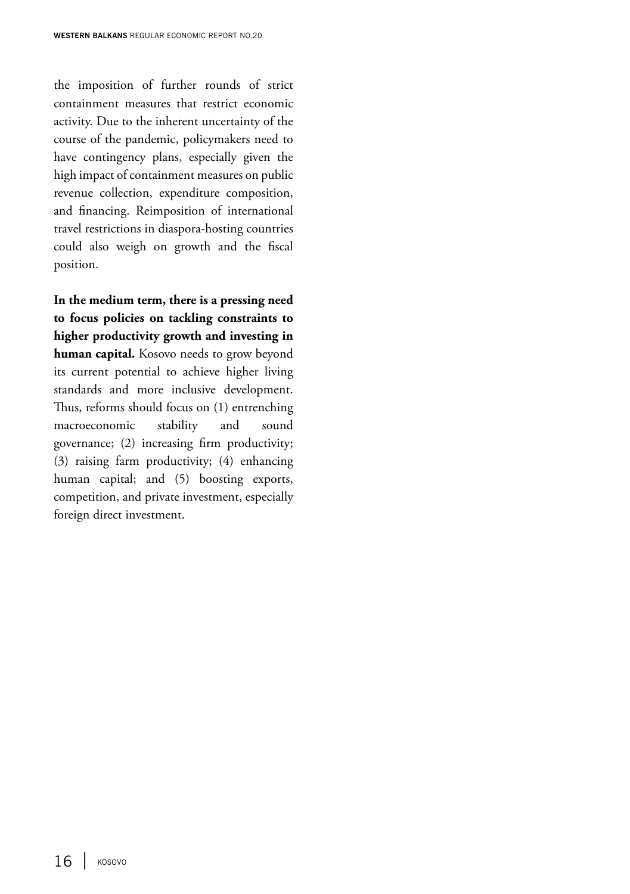the imposition of further rounds of strict containment measures that restrict economic activity. Due to the inherent uncertainty of the course of the pandemic, policymakers need to have contingency plans, especially given the high impact of containment measures on public revenue collection, expenditure composition, and financing. Reimposition of international travel restrictions in diaspora-hosting countries could also weigh on growth and the fiscal position.

**In the medium term, there is a pressing need to focus policies on tackling constraints to higher productivity growth and investing in human capital.** Kosovo needs to grow beyond its current potential to achieve higher living standards and more inclusive development. Thus, reforms should focus on (1) entrenching macroeconomic stability and sound governance; (2) increasing firm productivity; (3) raising farm productivity; (4) enhancing human capital; and (5) boosting exports, competition, and private investment, especially foreign direct investment.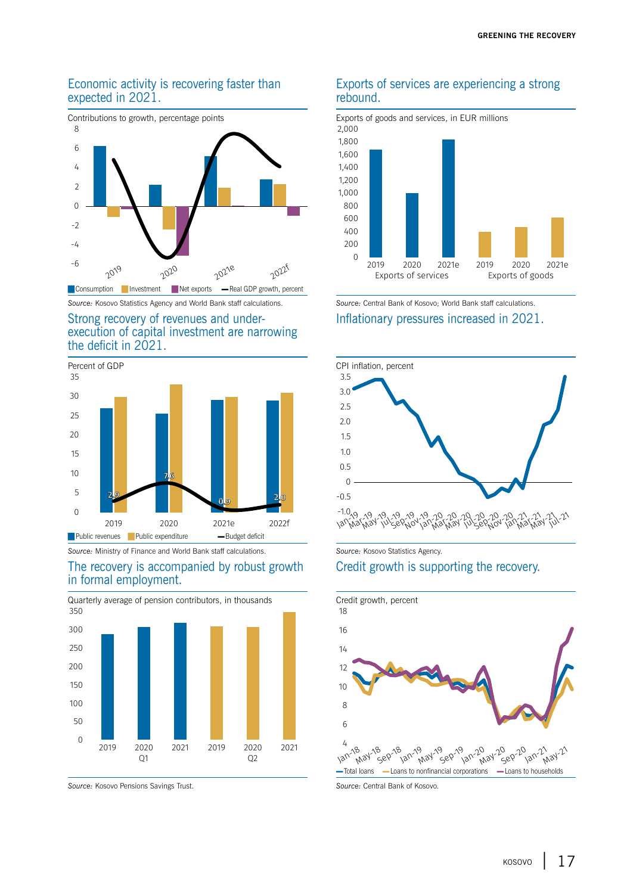#### Economic activity is recovering faster than expected in 2021.



#### Strong recovery of revenues and underexecution of capital investment are narrowing the deficit in 2021.



*Source:* Ministry of Finance and World Bank staff calculations. *Source:* Kosovo Statistics Agency.

#### The recovery is accompanied by robust growth in formal employment.





*Source:* Kosovo Pensions Savings Trust. *Source:* Central Bank of Kosovo.

#### Exports of services are experiencing a strong rebound.



*Source:* Kosovo Statistics Agency and World Bank staff calculations. *Source:* Central Bank of Kosovo; World Bank staff calculations.

Inflationary pressures increased in 2021.



#### Credit growth is supporting the recovery.

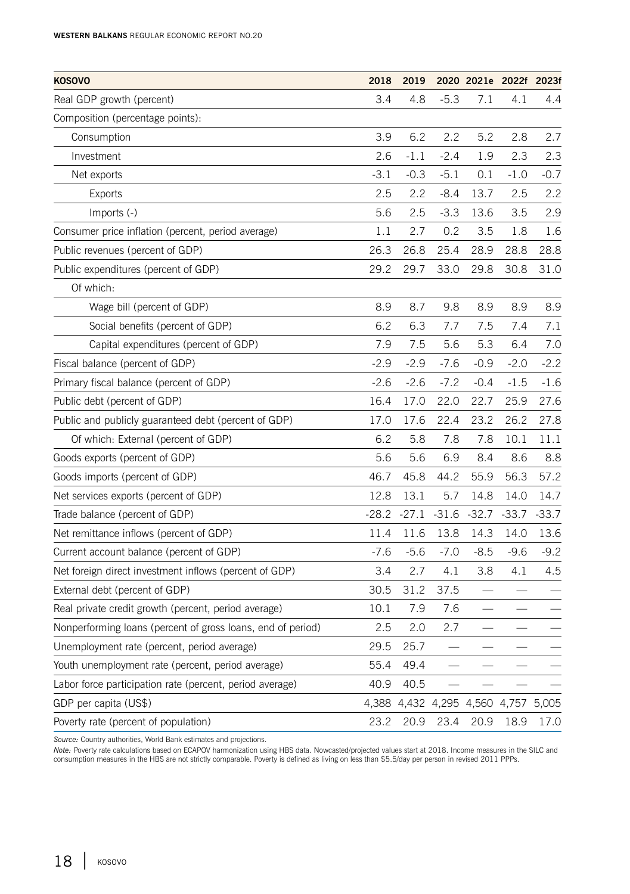| <b>KOSOVO</b>                                               | 2018    | 2019    |         | 2020 2021e 2022f 2023f        |         |         |
|-------------------------------------------------------------|---------|---------|---------|-------------------------------|---------|---------|
| Real GDP growth (percent)                                   | 3.4     | 4.8     | $-5.3$  | 7.1                           | 4.1     | 4.4     |
| Composition (percentage points):                            |         |         |         |                               |         |         |
| Consumption                                                 | 3.9     | 6.2     | 2.2     | 5.2                           | 2.8     | 2.7     |
| Investment                                                  | 2.6     | $-1.1$  | $-2.4$  | 1.9                           | 2.3     | 2.3     |
| Net exports                                                 | $-3.1$  | $-0.3$  | $-5.1$  | 0.1                           | $-1.0$  | $-0.7$  |
| <b>Exports</b>                                              | 2.5     | 2.2     | $-8.4$  | 13.7                          | 2.5     | 2.2     |
| Imports (-)                                                 | 5.6     | 2.5     | $-3.3$  | 13.6                          | 3.5     | 2.9     |
| Consumer price inflation (percent, period average)          | 1.1     | 2.7     | 0.2     | 3.5                           | 1.8     | 1.6     |
| Public revenues (percent of GDP)                            | 26.3    | 26.8    | 25.4    | 28.9                          | 28.8    | 28.8    |
| Public expenditures (percent of GDP)                        | 29.2    | 29.7    | 33.0    | 29.8                          | 30.8    | 31.0    |
| Of which:                                                   |         |         |         |                               |         |         |
| Wage bill (percent of GDP)                                  | 8.9     | 8.7     | 9.8     | 8.9                           | 8.9     | 8.9     |
| Social benefits (percent of GDP)                            | 6.2     | 6.3     | 7.7     | 7.5                           | 7.4     | 7.1     |
| Capital expenditures (percent of GDP)                       | 7.9     | 7.5     | 5.6     | 5.3                           | 6.4     | 7.0     |
| Fiscal balance (percent of GDP)                             | $-2.9$  | $-2.9$  | $-7.6$  | $-0.9$                        | $-2.0$  | $-2.2$  |
| Primary fiscal balance (percent of GDP)                     | $-2.6$  | $-2.6$  | $-7.2$  | $-0.4$                        | $-1.5$  | $-1.6$  |
| Public debt (percent of GDP)                                | 16.4    | 17.0    | 22.0    | 22.7                          | 25.9    | 27.6    |
| Public and publicly guaranteed debt (percent of GDP)        | 17.0    | 17.6    | 22.4    | 23.2                          | 26.2    | 27.8    |
| Of which: External (percent of GDP)                         | 6.2     | 5.8     | 7.8     | 7.8                           | 10.1    | 11.1    |
| Goods exports (percent of GDP)                              | 5.6     | 5.6     | 6.9     | 8.4                           | 8.6     | 8.8     |
| Goods imports (percent of GDP)                              | 46.7    | 45.8    | 44.2    | 55.9                          | 56.3    | 57.2    |
| Net services exports (percent of GDP)                       | 12.8    | 13.1    | 5.7     | 14.8                          | 14.0    | 14.7    |
| Trade balance (percent of GDP)                              | $-28.2$ | $-27.1$ | $-31.6$ | $-32.7$                       | $-33.7$ | $-33.7$ |
| Net remittance inflows (percent of GDP)                     | 11.4    | 11.6    | 13.8    | 14.3                          | 14.0    | 13.6    |
| Current account balance (percent of GDP)                    | $-7.6$  | $-5.6$  | $-7.0$  | $-8.5$                        | $-9.6$  | $-9.2$  |
| Net foreign direct investment inflows (percent of GDP)      | 3.4     | 2.7     | 4.1     | 3.8                           | 4.1     | 4.5     |
| External debt (percent of GDP)                              | 30.5    | 31.2    | 37.5    |                               |         |         |
| Real private credit growth (percent, period average)        | 10.1    | 7.9     | 7.6     |                               |         |         |
| Nonperforming loans (percent of gross loans, end of period) | 2.5     | 2.0     | 2.7     |                               |         |         |
| Unemployment rate (percent, period average)                 | 29.5    | 25.7    |         |                               |         |         |
| Youth unemployment rate (percent, period average)           | 55.4    | 49.4    |         |                               |         |         |
| Labor force participation rate (percent, period average)    | 40.9    | 40.5    |         |                               |         |         |
| GDP per capita (US\$)                                       | 4,388   |         |         | 4,432 4,295 4,560 4,757 5,005 |         |         |
| Poverty rate (percent of population)                        | 23.2    | 20.9    | 23.4    | 20.9                          | 18.9    | 17.0    |

*Source:* Country authorities, World Bank estimates and projections.

*Note: P*overty rate calculations based on ECAPOV harmonization using HBS data. Nowcasted/projected values start at 2018. Income measures in the SILC and<br>consumption measures in the HBS are not strictly comparable. Poverty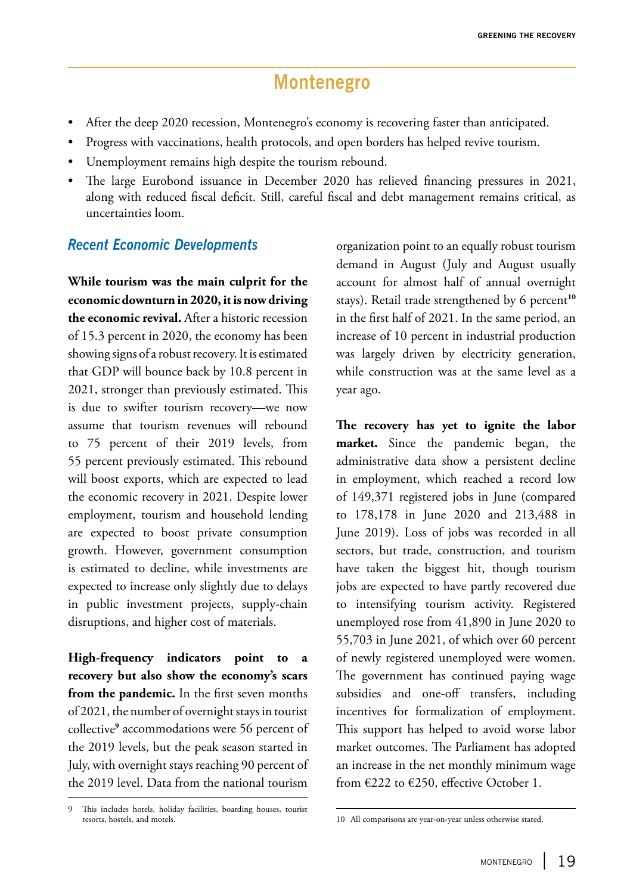# **Montenegro**

- After the deep 2020 recession, Montenegro's economy is recovering faster than anticipated.
- Progress with vaccinations, health protocols, and open borders has helped revive tourism.
- Unemployment remains high despite the tourism rebound.
- The large Eurobond issuance in December 2020 has relieved financing pressures in 2021, along with reduced fiscal deficit. Still, careful fiscal and debt management remains critical, as uncertainties loom.

#### *Recent Economic Developments*

**While tourism was the main culprit for the economic downturn in 2020, it is now driving the economic revival.** After a historic recession of 15.3 percent in 2020, the economy has been showing signs of a robust recovery. It is estimated that GDP will bounce back by 10.8 percent in 2021, stronger than previously estimated. This is due to swifter tourism recovery—we now assume that tourism revenues will rebound to 75 percent of their 2019 levels, from 55 percent previously estimated. This rebound will boost exports, which are expected to lead the economic recovery in 2021. Despite lower employment, tourism and household lending are expected to boost private consumption growth. However, government consumption is estimated to decline, while investments are expected to increase only slightly due to delays in public investment projects, supply-chain disruptions, and higher cost of materials.

**High-frequency indicators point to a recovery but also show the economy's scars from the pandemic.** In the first seven months of 2021, the number of overnight stays in tourist collective**<sup>9</sup>** accommodations were 56 percent of the 2019 levels, but the peak season started in July, with overnight stays reaching 90 percent of the 2019 level. Data from the national tourism

organization point to an equally robust tourism demand in August (July and August usually account for almost half of annual overnight stays). Retail trade strengthened by 6 percent<sup>10</sup> in the first half of 2021. In the same period, an increase of 10 percent in industrial production was largely driven by electricity generation, while construction was at the same level as a year ago.

**The recovery has yet to ignite the labor market.** Since the pandemic began, the administrative data show a persistent decline in employment, which reached a record low of 149,371 registered jobs in June (compared to 178,178 in June 2020 and 213,488 in June 2019). Loss of jobs was recorded in all sectors, but trade, construction, and tourism have taken the biggest hit, though tourism jobs are expected to have partly recovered due to intensifying tourism activity. Registered unemployed rose from 41,890 in June 2020 to 55,703 in June 2021, of which over 60 percent of newly registered unemployed were women. The government has continued paying wage subsidies and one-off transfers, including incentives for formalization of employment. This support has helped to avoid worse labor market outcomes. The Parliament has adopted an increase in the net monthly minimum wage from €222 to €250, effective October 1.

This includes hotels, holiday facilities, boarding houses, tourist resorts, hostels, and motels.

<sup>10</sup> All comparisons are year-on-year unless otherwise stated.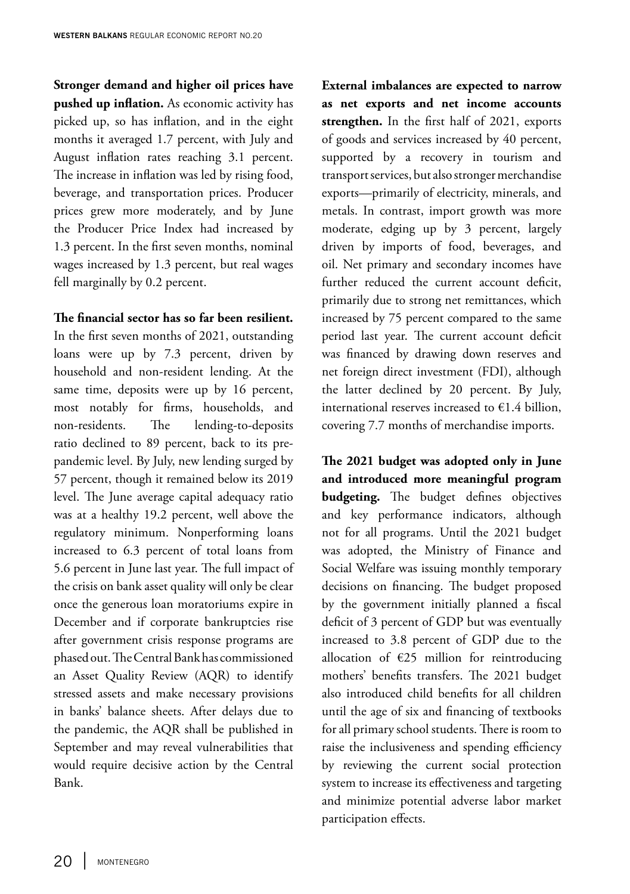**Stronger demand and higher oil prices have pushed up inflation.** As economic activity has picked up, so has inflation, and in the eight months it averaged 1.7 percent, with July and August inflation rates reaching 3.1 percent. The increase in inflation was led by rising food, beverage, and transportation prices. Producer prices grew more moderately, and by June the Producer Price Index had increased by 1.3 percent. In the first seven months, nominal wages increased by 1.3 percent, but real wages fell marginally by 0.2 percent.

**The financial sector has so far been resilient.**  In the first seven months of 2021, outstanding loans were up by 7.3 percent, driven by

household and non-resident lending. At the same time, deposits were up by 16 percent, most notably for firms, households, and non-residents. The lending-to-deposits ratio declined to 89 percent, back to its prepandemic level. By July, new lending surged by 57 percent, though it remained below its 2019 level. The June average capital adequacy ratio was at a healthy 19.2 percent, well above the regulatory minimum. Nonperforming loans increased to 6.3 percent of total loans from 5.6 percent in June last year. The full impact of the crisis on bank asset quality will only be clear once the generous loan moratoriums expire in December and if corporate bankruptcies rise after government crisis response programs are phased out. The Central Bank has commissioned an Asset Quality Review (AQR) to identify stressed assets and make necessary provisions in banks' balance sheets. After delays due to the pandemic, the AQR shall be published in September and may reveal vulnerabilities that would require decisive action by the Central Bank.

**External imbalances are expected to narrow as net exports and net income accounts strengthen.** In the first half of 2021, exports of goods and services increased by 40 percent, supported by a recovery in tourism and transport services, but also stronger merchandise exports—primarily of electricity, minerals, and metals. In contrast, import growth was more moderate, edging up by 3 percent, largely driven by imports of food, beverages, and oil. Net primary and secondary incomes have further reduced the current account deficit, primarily due to strong net remittances, which increased by 75 percent compared to the same period last year. The current account deficit was financed by drawing down reserves and net foreign direct investment (FDI), although the latter declined by 20 percent. By July, international reserves increased to  $€1.4$  billion, covering 7.7 months of merchandise imports.

**The 2021 budget was adopted only in June and introduced more meaningful program budgeting.** The budget defines objectives and key performance indicators, although not for all programs. Until the 2021 budget was adopted, the Ministry of Finance and Social Welfare was issuing monthly temporary decisions on financing. The budget proposed by the government initially planned a fiscal deficit of 3 percent of GDP but was eventually increased to 3.8 percent of GDP due to the allocation of  $E25$  million for reintroducing mothers' benefits transfers. The 2021 budget also introduced child benefits for all children until the age of six and financing of textbooks for all primary school students. There is room to raise the inclusiveness and spending efficiency by reviewing the current social protection system to increase its effectiveness and targeting and minimize potential adverse labor market participation effects.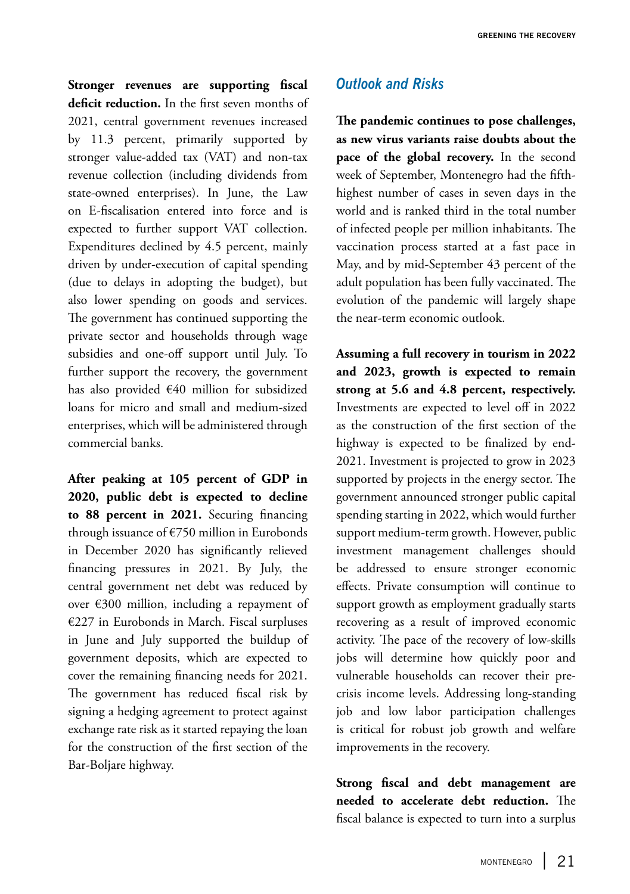**Stronger revenues are supporting fiscal deficit reduction.** In the first seven months of 2021, central government revenues increased by 11.3 percent, primarily supported by stronger value-added tax (VAT) and non-tax revenue collection (including dividends from state-owned enterprises). In June, the Law on E-fiscalisation entered into force and is expected to further support VAT collection. Expenditures declined by 4.5 percent, mainly driven by under-execution of capital spending (due to delays in adopting the budget), but also lower spending on goods and services. The government has continued supporting the private sector and households through wage subsidies and one-off support until July. To further support the recovery, the government has also provided €40 million for subsidized loans for micro and small and medium-sized enterprises, which will be administered through commercial banks.

**After peaking at 105 percent of GDP in 2020, public debt is expected to decline to 88 percent in 2021.** Securing financing through issuance of €750 million in Eurobonds in December 2020 has significantly relieved financing pressures in 2021. By July, the central government net debt was reduced by over €300 million, including a repayment of €227 in Eurobonds in March. Fiscal surpluses in June and July supported the buildup of government deposits, which are expected to cover the remaining financing needs for 2021. The government has reduced fiscal risk by signing a hedging agreement to protect against exchange rate risk as it started repaying the loan for the construction of the first section of the Bar-Boljare highway.

### *Outlook and Risks*

**The pandemic continues to pose challenges, as new virus variants raise doubts about the pace of the global recovery.** In the second week of September, Montenegro had the fifthhighest number of cases in seven days in the world and is ranked third in the total number of infected people per million inhabitants. The vaccination process started at a fast pace in May, and by mid-September 43 percent of the adult population has been fully vaccinated. The evolution of the pandemic will largely shape the near-term economic outlook.

**Assuming a full recovery in tourism in 2022 and 2023, growth is expected to remain strong at 5.6 and 4.8 percent, respectively.**  Investments are expected to level off in 2022 as the construction of the first section of the highway is expected to be finalized by end-2021. Investment is projected to grow in 2023 supported by projects in the energy sector. The government announced stronger public capital spending starting in 2022, which would further support medium-term growth. However, public investment management challenges should be addressed to ensure stronger economic effects. Private consumption will continue to support growth as employment gradually starts recovering as a result of improved economic activity. The pace of the recovery of low-skills jobs will determine how quickly poor and vulnerable households can recover their precrisis income levels. Addressing long-standing job and low labor participation challenges is critical for robust job growth and welfare improvements in the recovery.

**Strong fiscal and debt management are needed to accelerate debt reduction.** The fiscal balance is expected to turn into a surplus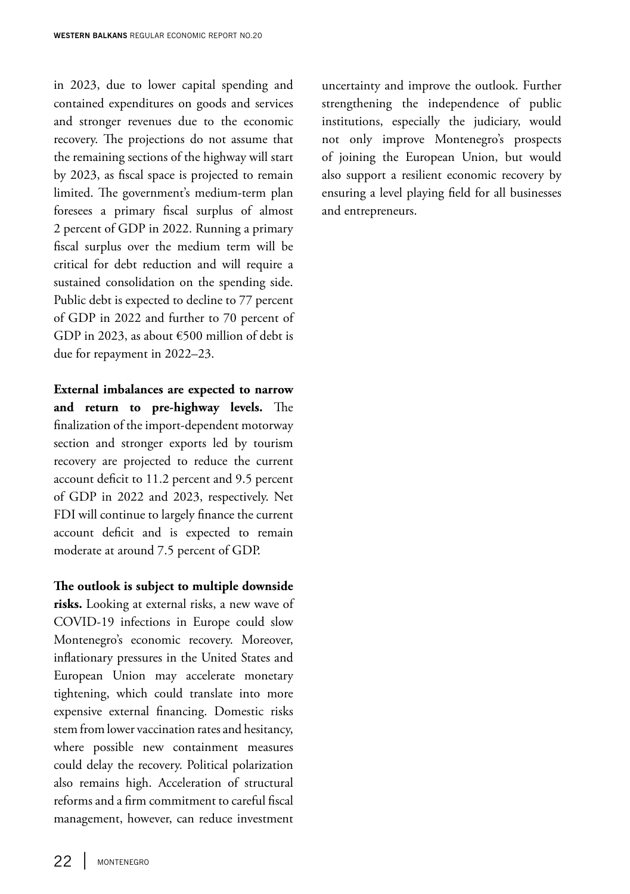in 2023, due to lower capital spending and contained expenditures on goods and services and stronger revenues due to the economic recovery. The projections do not assume that the remaining sections of the highway will start by 2023, as fiscal space is projected to remain limited. The government's medium-term plan foresees a primary fiscal surplus of almost 2 percent of GDP in 2022. Running a primary fiscal surplus over the medium term will be critical for debt reduction and will require a sustained consolidation on the spending side. Public debt is expected to decline to 77 percent of GDP in 2022 and further to 70 percent of GDP in 2023, as about €500 million of debt is due for repayment in 2022–23.

**External imbalances are expected to narrow and return to pre-highway levels.** The finalization of the import-dependent motorway section and stronger exports led by tourism recovery are projected to reduce the current account deficit to 11.2 percent and 9.5 percent of GDP in 2022 and 2023, respectively. Net FDI will continue to largely finance the current account deficit and is expected to remain moderate at around 7.5 percent of GDP.

#### **The outlook is subject to multiple downside**

**risks.** Looking at external risks, a new wave of COVID-19 infections in Europe could slow Montenegro's economic recovery. Moreover, inflationary pressures in the United States and European Union may accelerate monetary tightening, which could translate into more expensive external financing. Domestic risks stem from lower vaccination rates and hesitancy, where possible new containment measures could delay the recovery. Political polarization also remains high. Acceleration of structural reforms and a firm commitment to careful fiscal management, however, can reduce investment

uncertainty and improve the outlook. Further strengthening the independence of public institutions, especially the judiciary, would not only improve Montenegro's prospects of joining the European Union, but would also support a resilient economic recovery by ensuring a level playing field for all businesses and entrepreneurs.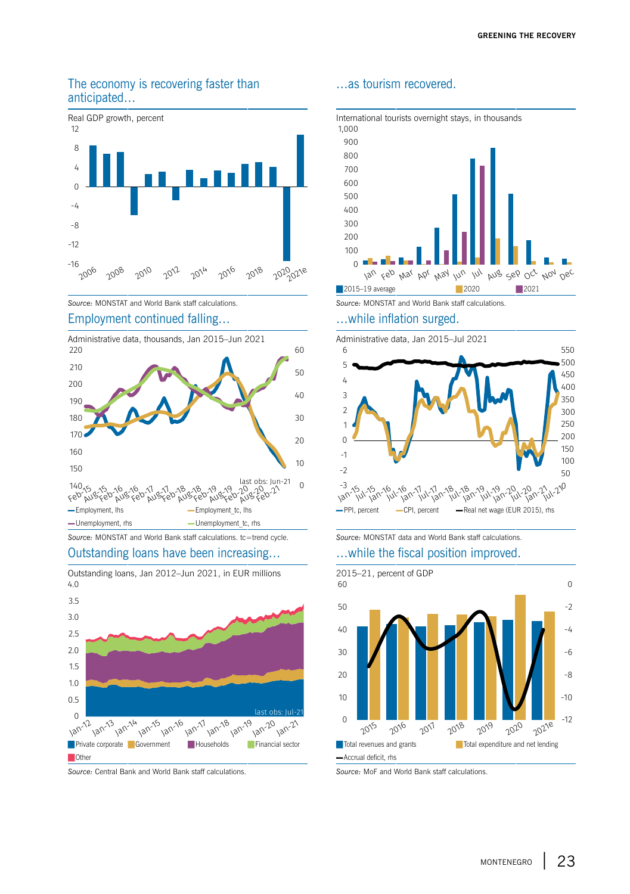#### The economy is recovering faster than anticipated…



#### Employment continued falling… …while inflation surged.



#### Outstanding loans have been increasing… …while the fiscal position improved.





#### *Source:* Central Bank and World Bank staff calculations. *Source:* MoF and World Bank staff calculations.

#### …as tourism recovered.



*Source:* MONSTAT and World Bank staff calculations. *Source:* MONSTAT and World Bank staff calculations.





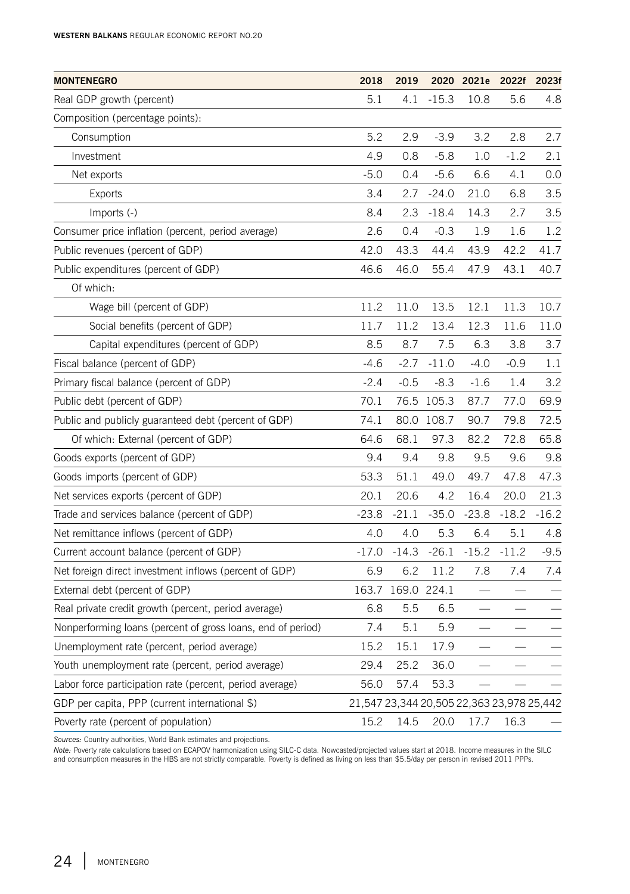| <b>MONTENEGRO</b>                                           | 2018                                      | 2019              |            | 2020 2021e | 2022f   | 2023f   |
|-------------------------------------------------------------|-------------------------------------------|-------------------|------------|------------|---------|---------|
| Real GDP growth (percent)                                   | 5.1                                       | 4.1               | $-15.3$    | 10.8       | 5.6     | 4.8     |
| Composition (percentage points):                            |                                           |                   |            |            |         |         |
| Consumption                                                 | 5.2                                       | 2.9               | $-3.9$     | 3.2        | 2.8     | 2.7     |
| Investment                                                  | 4.9                                       | 0.8               | $-5.8$     | 1.0        | $-1.2$  | 2.1     |
| Net exports                                                 | $-5.0$                                    | 0.4               | $-5.6$     | 6.6        | 4.1     | 0.0     |
| Exports                                                     | 3.4                                       | 2.7               | $-24.0$    | 21.0       | 6.8     | 3.5     |
| Imports (-)                                                 | 8.4                                       | 2.3               | $-18.4$    | 14.3       | 2.7     | 3.5     |
| Consumer price inflation (percent, period average)          | 2.6                                       | 0.4               | $-0.3$     | 1.9        | 1.6     | 1.2     |
| Public revenues (percent of GDP)                            | 42.0                                      | 43.3              | 44.4       | 43.9       | 42.2    | 41.7    |
| Public expenditures (percent of GDP)                        | 46.6                                      | 46.0              | 55.4       | 47.9       | 43.1    | 40.7    |
| Of which:                                                   |                                           |                   |            |            |         |         |
| Wage bill (percent of GDP)                                  | 11.2                                      | 11.0              | 13.5       | 12.1       | 11.3    | 10.7    |
| Social benefits (percent of GDP)                            | 11.7                                      | 11.2              | 13.4       | 12.3       | 11.6    | 11.0    |
| Capital expenditures (percent of GDP)                       | 8.5                                       | 8.7               | 7.5        | 6.3        | 3.8     | 3.7     |
| Fiscal balance (percent of GDP)                             | $-4.6$                                    | $-2.7$            | $-11.0$    | $-4.0$     | $-0.9$  | 1.1     |
| Primary fiscal balance (percent of GDP)                     | $-2.4$                                    | $-0.5$            | $-8.3$     | $-1.6$     | 1.4     | 3.2     |
| Public debt (percent of GDP)                                | 70.1                                      |                   | 76.5 105.3 | 87.7       | 77.0    | 69.9    |
| Public and publicly guaranteed debt (percent of GDP)        | 74.1                                      | 80.0              | 108.7      | 90.7       | 79.8    | 72.5    |
| Of which: External (percent of GDP)                         | 64.6                                      | 68.1              | 97.3       | 82.2       | 72.8    | 65.8    |
| Goods exports (percent of GDP)                              | 9.4                                       | 9.4               | 9.8        | 9.5        | 9.6     | 9.8     |
| Goods imports (percent of GDP)                              | 53.3                                      | 51.1              | 49.0       | 49.7       | 47.8    | 47.3    |
| Net services exports (percent of GDP)                       | 20.1                                      | 20.6              | 4.2        | 16.4       | 20.0    | 21.3    |
| Trade and services balance (percent of GDP)                 | $-23.8$                                   | $-21.1$           | $-35.0$    | $-23.8$    | $-18.2$ | $-16.2$ |
| Net remittance inflows (percent of GDP)                     | 4.0                                       | 4.0               | 5.3        | 6.4        | 5.1     | 4.8     |
| Current account balance (percent of GDP)                    | $-17.0$                                   | $-14.3$           | $-26.1$    | $-15.2$    | $-11.2$ | $-9.5$  |
| Net foreign direct investment inflows (percent of GDP)      | 6.9                                       | 6.2               | 11.2       | 7.8        | 7.4     | 7.4     |
| External debt (percent of GDP)                              |                                           | 163.7 169.0 224.1 |            |            |         |         |
| Real private credit growth (percent, period average)        | 6.8                                       | 5.5               | 6.5        |            |         |         |
| Nonperforming loans (percent of gross loans, end of period) | 7.4                                       | 5.1               | 5.9        |            |         |         |
| Unemployment rate (percent, period average)                 | 15.2                                      | 15.1              | 17.9       |            |         |         |
| Youth unemployment rate (percent, period average)           | 29.4                                      | 25.2              | 36.0       |            |         |         |
| Labor force participation rate (percent, period average)    | 56.0                                      | 57.4              | 53.3       |            |         |         |
| GDP per capita, PPP (current international \$)              | 21,547 23,344 20,505 22,363 23,978 25,442 |                   |            |            |         |         |
| Poverty rate (percent of population)                        | 15.2                                      | 14.5              | 20.0       | 17.7       | 16.3    |         |

*Sources:* Country authorities, World Bank estimates and projections.

*Note: P*overty rate calculations based on ECAPOV harmonization using SILC-C data. Nowcasted/projected values start at 2018. Income measures in the SILC<br>and consumption measures in the HBS are not strictly comparable. Pove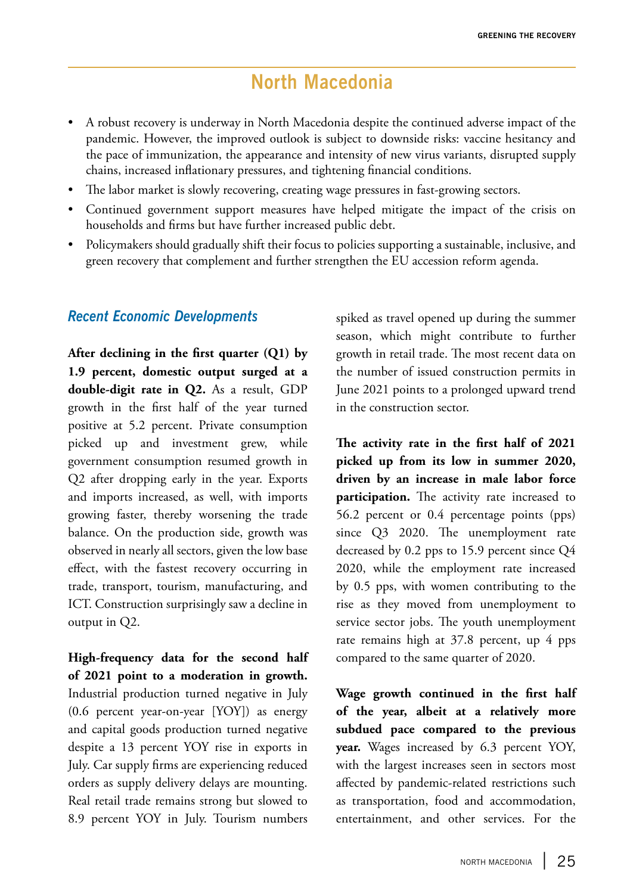# **North Macedonia**

- A robust recovery is underway in North Macedonia despite the continued adverse impact of the pandemic. However, the improved outlook is subject to downside risks: vaccine hesitancy and the pace of immunization, the appearance and intensity of new virus variants, disrupted supply chains, increased inflationary pressures, and tightening financial conditions.
- The labor market is slowly recovering, creating wage pressures in fast-growing sectors.
- Continued government support measures have helped mitigate the impact of the crisis on households and firms but have further increased public debt.
- Policymakers should gradually shift their focus to policies supporting a sustainable, inclusive, and green recovery that complement and further strengthen the EU accession reform agenda.

### *Recent Economic Developments*

**After declining in the first quarter (Q1) by 1.9 percent, domestic output surged at a double-digit rate in Q2.** As a result, GDP growth in the first half of the year turned positive at 5.2 percent. Private consumption picked up and investment grew, while government consumption resumed growth in Q2 after dropping early in the year. Exports and imports increased, as well, with imports growing faster, thereby worsening the trade balance. On the production side, growth was observed in nearly all sectors, given the low base effect, with the fastest recovery occurring in trade, transport, tourism, manufacturing, and ICT. Construction surprisingly saw a decline in output in Q2.

**High-frequency data for the second half of 2021 point to a moderation in growth.**  Industrial production turned negative in July (0.6 percent year-on-year [YOY]) as energy and capital goods production turned negative despite a 13 percent YOY rise in exports in July. Car supply firms are experiencing reduced orders as supply delivery delays are mounting. Real retail trade remains strong but slowed to 8.9 percent YOY in July. Tourism numbers

spiked as travel opened up during the summer season, which might contribute to further growth in retail trade. The most recent data on the number of issued construction permits in June 2021 points to a prolonged upward trend in the construction sector.

**The activity rate in the first half of 2021 picked up from its low in summer 2020, driven by an increase in male labor force participation.** The activity rate increased to 56.2 percent or 0.4 percentage points (pps) since Q3 2020. The unemployment rate decreased by 0.2 pps to 15.9 percent since Q4 2020, while the employment rate increased by 0.5 pps, with women contributing to the rise as they moved from unemployment to service sector jobs. The youth unemployment rate remains high at 37.8 percent, up 4 pps compared to the same quarter of 2020.

**Wage growth continued in the first half of the year, albeit at a relatively more subdued pace compared to the previous year.** Wages increased by 6.3 percent YOY, with the largest increases seen in sectors most affected by pandemic-related restrictions such as transportation, food and accommodation, entertainment, and other services. For the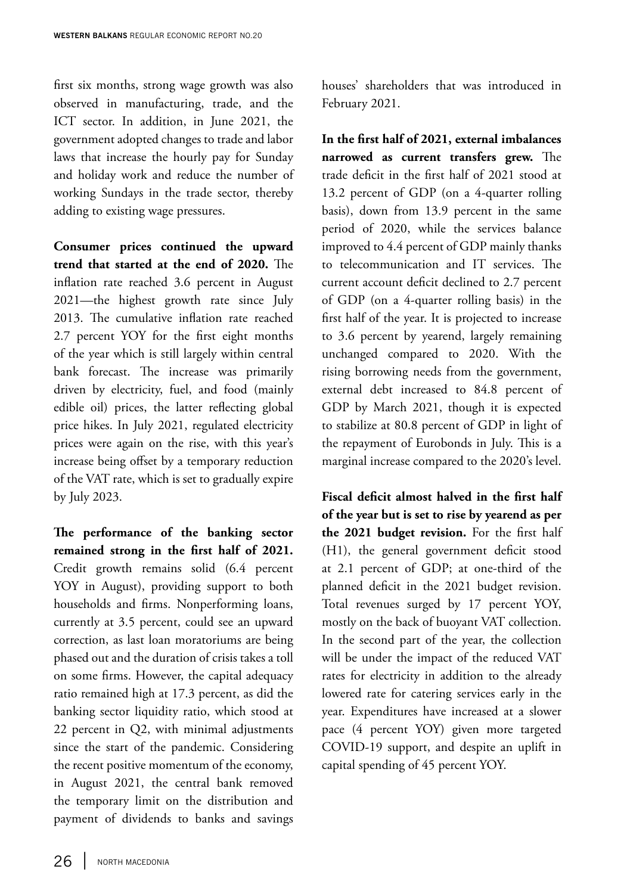first six months, strong wage growth was also observed in manufacturing, trade, and the ICT sector. In addition, in June 2021, the government adopted changes to trade and labor laws that increase the hourly pay for Sunday and holiday work and reduce the number of working Sundays in the trade sector, thereby adding to existing wage pressures.

**Consumer prices continued the upward trend that started at the end of 2020.** The inflation rate reached 3.6 percent in August 2021—the highest growth rate since July 2013. The cumulative inflation rate reached 2.7 percent YOY for the first eight months of the year which is still largely within central bank forecast. The increase was primarily driven by electricity, fuel, and food (mainly edible oil) prices, the latter reflecting global price hikes. In July 2021, regulated electricity prices were again on the rise, with this year's increase being offset by a temporary reduction of the VAT rate, which is set to gradually expire by July 2023.

**The performance of the banking sector remained strong in the first half of 2021.**  Credit growth remains solid (6.4 percent YOY in August), providing support to both households and firms. Nonperforming loans, currently at 3.5 percent, could see an upward correction, as last loan moratoriums are being phased out and the duration of crisis takes a toll on some firms. However, the capital adequacy ratio remained high at 17.3 percent, as did the banking sector liquidity ratio, which stood at 22 percent in Q2, with minimal adjustments since the start of the pandemic. Considering the recent positive momentum of the economy, in August 2021, the central bank removed the temporary limit on the distribution and payment of dividends to banks and savings houses' shareholders that was introduced in February 2021.

**In the first half of 2021, external imbalances narrowed as current transfers grew.** The trade deficit in the first half of 2021 stood at 13.2 percent of GDP (on a 4-quarter rolling basis), down from 13.9 percent in the same period of 2020, while the services balance improved to 4.4 percent of GDP mainly thanks to telecommunication and IT services. The current account deficit declined to 2.7 percent of GDP (on a 4-quarter rolling basis) in the first half of the year. It is projected to increase to 3.6 percent by yearend, largely remaining unchanged compared to 2020. With the rising borrowing needs from the government, external debt increased to 84.8 percent of GDP by March 2021, though it is expected to stabilize at 80.8 percent of GDP in light of the repayment of Eurobonds in July. This is a marginal increase compared to the 2020's level.

**Fiscal deficit almost halved in the first half of the year but is set to rise by yearend as per the 2021 budget revision.** For the first half (H1), the general government deficit stood at 2.1 percent of GDP; at one-third of the planned deficit in the 2021 budget revision. Total revenues surged by 17 percent YOY, mostly on the back of buoyant VAT collection. In the second part of the year, the collection will be under the impact of the reduced VAT rates for electricity in addition to the already lowered rate for catering services early in the year. Expenditures have increased at a slower pace (4 percent YOY) given more targeted COVID-19 support, and despite an uplift in capital spending of 45 percent YOY.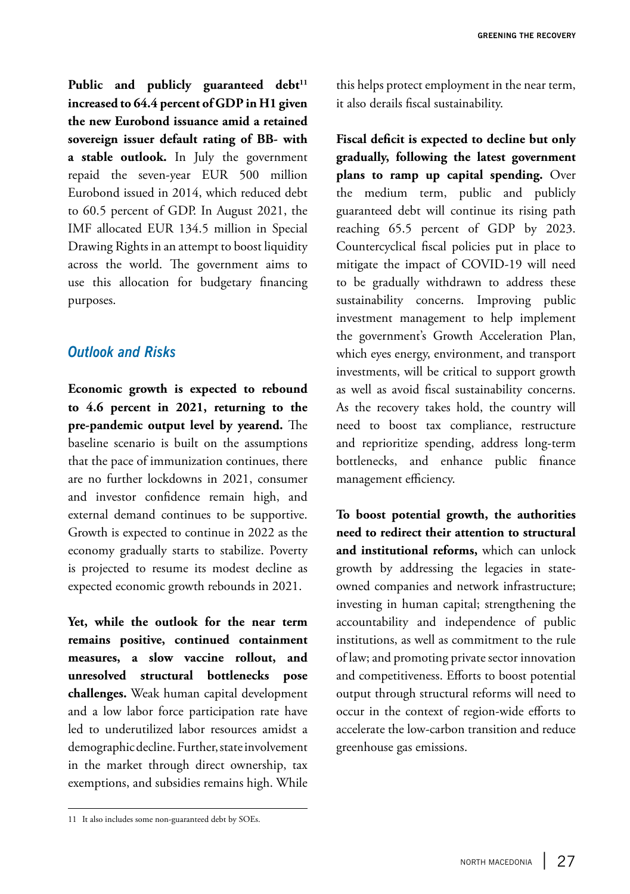Public and publicly guaranteed debt<sup>11</sup> **increased to 64.4 percent of GDP in H1 given the new Eurobond issuance amid a retained sovereign issuer default rating of BB- with a stable outlook.** In July the government repaid the seven-year EUR 500 million Eurobond issued in 2014, which reduced debt to 60.5 percent of GDP. In August 2021, the IMF allocated EUR 134.5 million in Special Drawing Rights in an attempt to boost liquidity across the world. The government aims to use this allocation for budgetary financing purposes.

### *Outlook and Risks*

**Economic growth is expected to rebound to 4.6 percent in 2021, returning to the pre-pandemic output level by yearend.** The baseline scenario is built on the assumptions that the pace of immunization continues, there are no further lockdowns in 2021, consumer and investor confidence remain high, and external demand continues to be supportive. Growth is expected to continue in 2022 as the economy gradually starts to stabilize. Poverty is projected to resume its modest decline as expected economic growth rebounds in 2021.

**Yet, while the outlook for the near term remains positive, continued containment measures, a slow vaccine rollout, and unresolved structural bottlenecks pose challenges.** Weak human capital development and a low labor force participation rate have led to underutilized labor resources amidst a demographic decline. Further, state involvement in the market through direct ownership, tax exemptions, and subsidies remains high. While

this helps protect employment in the near term, it also derails fiscal sustainability.

**Fiscal deficit is expected to decline but only gradually, following the latest government plans to ramp up capital spending.** Over the medium term, public and publicly guaranteed debt will continue its rising path reaching 65.5 percent of GDP by 2023. Countercyclical fiscal policies put in place to mitigate the impact of COVID-19 will need to be gradually withdrawn to address these sustainability concerns. Improving public investment management to help implement the government's Growth Acceleration Plan, which eyes energy, environment, and transport investments, will be critical to support growth as well as avoid fiscal sustainability concerns. As the recovery takes hold, the country will need to boost tax compliance, restructure and reprioritize spending, address long-term bottlenecks, and enhance public finance management efficiency.

**To boost potential growth, the authorities need to redirect their attention to structural and institutional reforms,** which can unlock growth by addressing the legacies in stateowned companies and network infrastructure; investing in human capital; strengthening the accountability and independence of public institutions, as well as commitment to the rule of law; and promoting private sector innovation and competitiveness. Efforts to boost potential output through structural reforms will need to occur in the context of region-wide efforts to accelerate the low-carbon transition and reduce greenhouse gas emissions.

<sup>11</sup> It also includes some non-guaranteed debt by SOEs.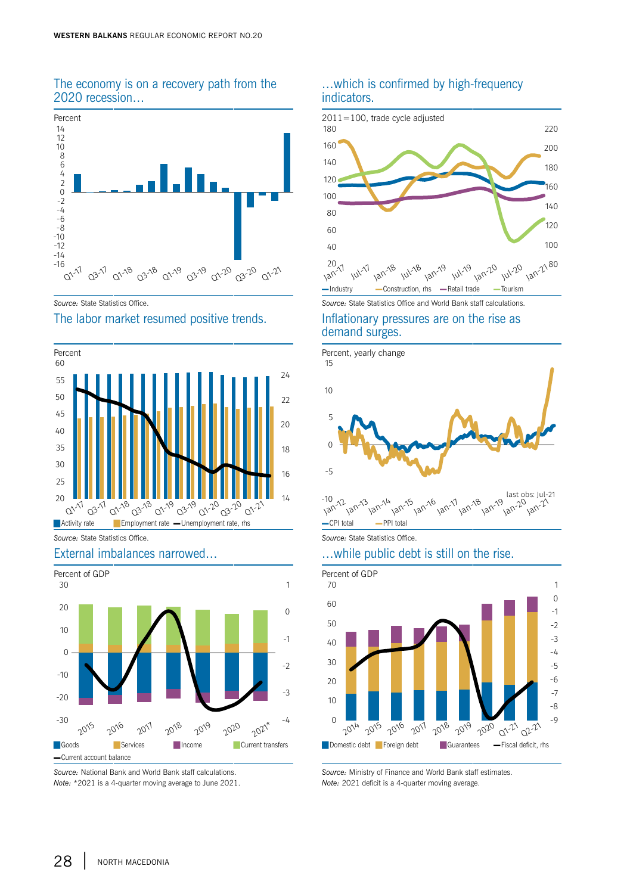#### The economy is on a recovery path from the 2020 recession…



#### The labor market resumed positive trends. Inflationary pressures are on the rise as





*Source:* National Bank and World Bank staff calculations. *Note:* \*2021 is a 4-quarter moving average to June 2021.

#### …which is confirmed by high-frequency indicators.



**Source: State Statistics Office. Source: State Statistics Office and World Bank staff calculations.** 

# demand surges.



#### External imbalances narrowed… …while public debt is still on the rise.



*Source:* Ministry of Finance and World Bank staff estimates. *Note:* 2021 deficit is a 4-quarter moving average.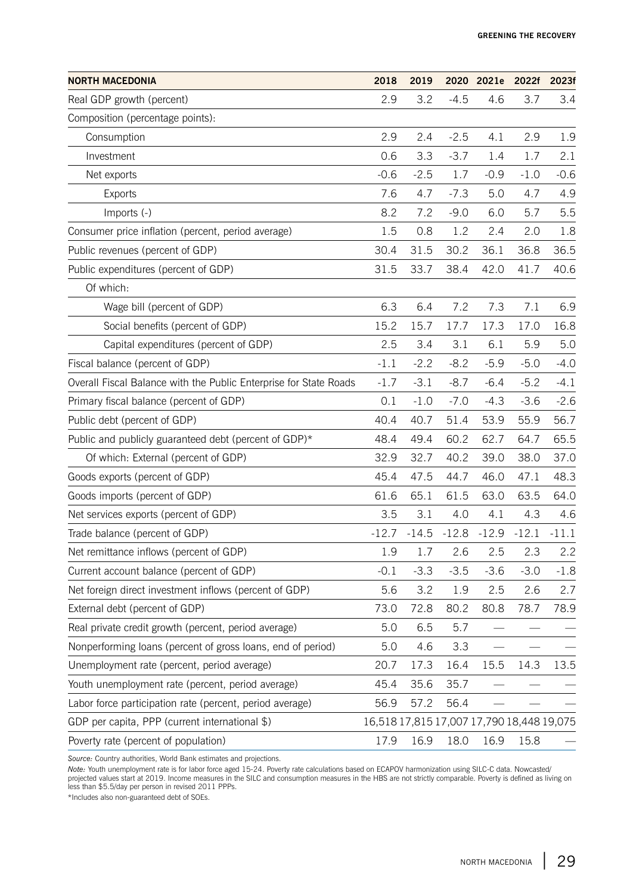| <b>NORTH MACEDONIA</b>                                            | 2018                                      | 2019    |         | 2020 2021e | 2022f   | 2023f  |
|-------------------------------------------------------------------|-------------------------------------------|---------|---------|------------|---------|--------|
| Real GDP growth (percent)                                         | 2.9                                       | 3.2     | $-4.5$  | 4.6        | 3.7     | 3.4    |
| Composition (percentage points):                                  |                                           |         |         |            |         |        |
| Consumption                                                       | 2.9                                       | 2.4     | $-2.5$  | 4.1        | 2.9     | 1.9    |
| Investment                                                        | 0.6                                       | 3.3     | $-3.7$  | 1.4        | 1.7     | 2.1    |
| Net exports                                                       | $-0.6$                                    | $-2.5$  | 1.7     | $-0.9$     | $-1.0$  | $-0.6$ |
| <b>Exports</b>                                                    | 7.6                                       | 4.7     | $-7.3$  | 5.0        | 4.7     | 4.9    |
| Imports (-)                                                       | 8.2                                       | 7.2     | $-9.0$  | 6.0        | 5.7     | 5.5    |
| Consumer price inflation (percent, period average)                | 1.5                                       | 0.8     | 1.2     | 2.4        | 2.0     | 1.8    |
| Public revenues (percent of GDP)                                  | 30.4                                      | 31.5    | 30.2    | 36.1       | 36.8    | 36.5   |
| Public expenditures (percent of GDP)                              | 31.5                                      | 33.7    | 38.4    | 42.0       | 41.7    | 40.6   |
| Of which:                                                         |                                           |         |         |            |         |        |
| Wage bill (percent of GDP)                                        | 6.3                                       | 6.4     | 7.2     | 7.3        | 7.1     | 6.9    |
| Social benefits (percent of GDP)                                  | 15.2                                      | 15.7    | 17.7    | 17.3       | 17.0    | 16.8   |
| Capital expenditures (percent of GDP)                             | 2.5                                       | 3.4     | 3.1     | 6.1        | 5.9     | 5.0    |
| Fiscal balance (percent of GDP)                                   | $-1.1$                                    | $-2.2$  | $-8.2$  | $-5.9$     | $-5.0$  | $-4.0$ |
| Overall Fiscal Balance with the Public Enterprise for State Roads | $-1.7$                                    | $-3.1$  | $-8.7$  | $-6.4$     | $-5.2$  | -4.1   |
| Primary fiscal balance (percent of GDP)                           | 0.1                                       | $-1.0$  | $-7.0$  | $-4.3$     | $-3.6$  | $-2.6$ |
| Public debt (percent of GDP)                                      | 40.4                                      | 40.7    | 51.4    | 53.9       | 55.9    | 56.7   |
| Public and publicly guaranteed debt (percent of GDP)*             | 48.4                                      | 49.4    | 60.2    | 62.7       | 64.7    | 65.5   |
| Of which: External (percent of GDP)                               | 32.9                                      | 32.7    | 40.2    | 39.0       | 38.0    | 37.0   |
| Goods exports (percent of GDP)                                    | 45.4                                      | 47.5    | 44.7    | 46.0       | 47.1    | 48.3   |
| Goods imports (percent of GDP)                                    | 61.6                                      | 65.1    | 61.5    | 63.0       | 63.5    | 64.0   |
| Net services exports (percent of GDP)                             | 3.5                                       | 3.1     | 4.0     | 4.1        | 4.3     | 4.6    |
| Trade balance (percent of GDP)                                    | $-12.7$                                   | $-14.5$ | $-12.8$ | $-12.9$    | $-12.1$ | -11.1  |
| Net remittance inflows (percent of GDP)                           | 1.9                                       | 1.7     | 2.6     | 2.5        | 2.3     | 2.2    |
| Current account balance (percent of GDP)                          | $-0.1$                                    | $-3.3$  | $-3.5$  | $-3.6$     | $-3.0$  | $-1.8$ |
| Net foreign direct investment inflows (percent of GDP)            | 5.6                                       | 3.2     | 1.9     | 2.5        | 2.6     | 2.7    |
| External debt (percent of GDP)                                    | 73.0                                      | 72.8    | 80.2    | 80.8       | 78.7    | 78.9   |
| Real private credit growth (percent, period average)              | 5.0                                       | 6.5     | 5.7     |            |         |        |
| Nonperforming loans (percent of gross loans, end of period)       | 5.0                                       | 4.6     | 3.3     |            |         |        |
| Unemployment rate (percent, period average)                       | 20.7                                      | 17.3    | 16.4    | 15.5       | 14.3    | 13.5   |
| Youth unemployment rate (percent, period average)                 | 45.4                                      | 35.6    | 35.7    |            |         |        |
| Labor force participation rate (percent, period average)          | 56.9                                      | 57.2    | 56.4    |            |         |        |
| GDP per capita, PPP (current international \$)                    | 16,518 17,815 17,007 17,790 18,448 19,075 |         |         |            |         |        |
| Poverty rate (percent of population)                              | 17.9                                      | 16.9    | 18.0    | 16.9       | 15.8    |        |

*Source:* Country authorities, World Bank estimates and projections.

*Note: Y*outh unemployment rate is for labor force aged 15-24. Poverty rate calculations based on ECAPOV harmonization using SILC-C data. Nowcasted/<br>projected values start at 2019. Income measures in the SILC and consumpti less than \$5.5/day per person in revised 2011 PPPs.

\*Includes also non-guaranteed debt of SOEs.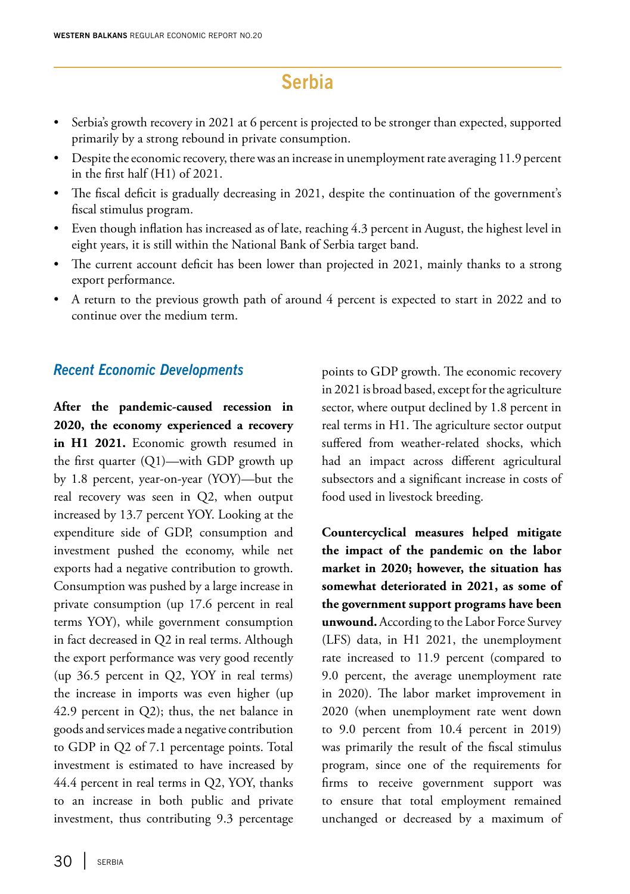# **Serbia**

- Serbia's growth recovery in 2021 at 6 percent is projected to be stronger than expected, supported primarily by a strong rebound in private consumption.
- Despite the economic recovery, there was an increase in unemployment rate averaging 11.9 percent in the first half (H1) of 2021.
- The fiscal deficit is gradually decreasing in 2021, despite the continuation of the government's fiscal stimulus program.
- Even though inflation has increased as of late, reaching 4.3 percent in August, the highest level in eight years, it is still within the National Bank of Serbia target band.
- The current account deficit has been lower than projected in 2021, mainly thanks to a strong export performance.
- A return to the previous growth path of around 4 percent is expected to start in 2022 and to continue over the medium term.

#### *Recent Economic Developments*

**After the pandemic-caused recession in 2020, the economy experienced a recovery in H1 2021.** Economic growth resumed in the first quarter (Q1)—with GDP growth up by 1.8 percent, year-on-year (YOY)—but the real recovery was seen in Q2, when output increased by 13.7 percent YOY. Looking at the expenditure side of GDP, consumption and investment pushed the economy, while net exports had a negative contribution to growth. Consumption was pushed by a large increase in private consumption (up 17.6 percent in real terms YOY), while government consumption in fact decreased in Q2 in real terms. Although the export performance was very good recently (up 36.5 percent in Q2, YOY in real terms) the increase in imports was even higher (up 42.9 percent in Q2); thus, the net balance in goods and services made a negative contribution to GDP in Q2 of 7.1 percentage points. Total investment is estimated to have increased by 44.4 percent in real terms in Q2, YOY, thanks to an increase in both public and private investment, thus contributing 9.3 percentage

points to GDP growth. The economic recovery in 2021 is broad based, except for the agriculture sector, where output declined by 1.8 percent in real terms in H1. The agriculture sector output suffered from weather-related shocks, which had an impact across different agricultural subsectors and a significant increase in costs of food used in livestock breeding.

**Countercyclical measures helped mitigate the impact of the pandemic on the labor market in 2020; however, the situation has somewhat deteriorated in 2021, as some of the government support programs have been unwound.** According to the Labor Force Survey (LFS) data, in H1 2021, the unemployment rate increased to 11.9 percent (compared to 9.0 percent, the average unemployment rate in 2020). The labor market improvement in 2020 (when unemployment rate went down to 9.0 percent from 10.4 percent in 2019) was primarily the result of the fiscal stimulus program, since one of the requirements for firms to receive government support was to ensure that total employment remained unchanged or decreased by a maximum of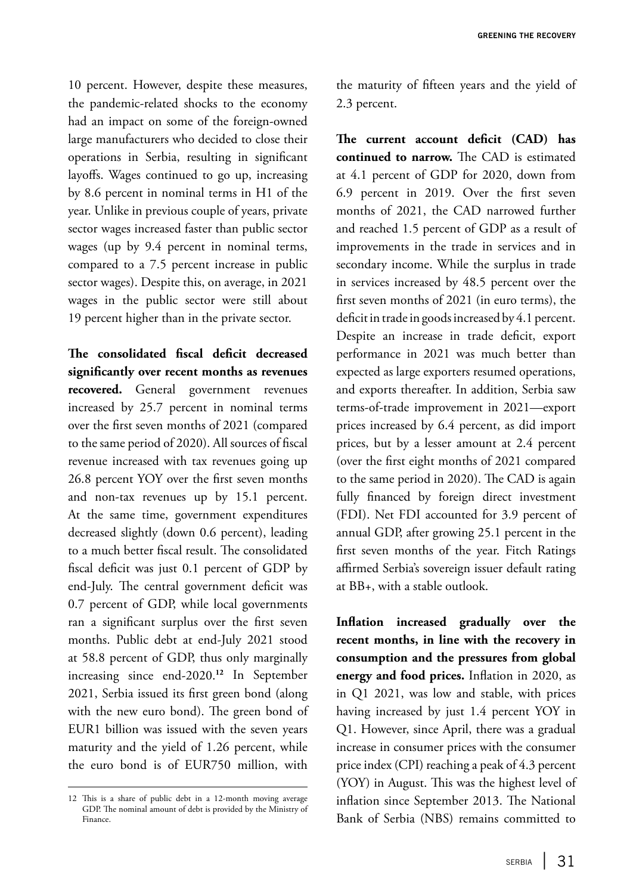10 percent. However, despite these measures, the pandemic-related shocks to the economy had an impact on some of the foreign-owned large manufacturers who decided to close their operations in Serbia, resulting in significant layoffs. Wages continued to go up, increasing by 8.6 percent in nominal terms in H1 of the year. Unlike in previous couple of years, private sector wages increased faster than public sector wages (up by 9.4 percent in nominal terms, compared to a 7.5 percent increase in public sector wages). Despite this, on average, in 2021 wages in the public sector were still about 19 percent higher than in the private sector.

**The consolidated fiscal deficit decreased significantly over recent months as revenues recovered.** General government revenues increased by 25.7 percent in nominal terms over the first seven months of 2021 (compared to the same period of 2020). All sources of fiscal revenue increased with tax revenues going up 26.8 percent YOY over the first seven months and non-tax revenues up by 15.1 percent. At the same time, government expenditures decreased slightly (down 0.6 percent), leading to a much better fiscal result. The consolidated fiscal deficit was just 0.1 percent of GDP by end-July. The central government deficit was 0.7 percent of GDP, while local governments ran a significant surplus over the first seven months. Public debt at end-July 2021 stood at 58.8 percent of GDP, thus only marginally increasing since end-2020.**<sup>12</sup>** In September 2021, Serbia issued its first green bond (along with the new euro bond). The green bond of EUR1 billion was issued with the seven years maturity and the yield of 1.26 percent, while the euro bond is of EUR750 million, with

12 This is a share of public debt in a 12-month moving average GDP. The nominal amount of debt is provided by the Ministry of Finance.

the maturity of fifteen years and the yield of 2.3 percent.

**The current account deficit (CAD) has continued to narrow.** The CAD is estimated at 4.1 percent of GDP for 2020, down from 6.9 percent in 2019. Over the first seven months of 2021, the CAD narrowed further and reached 1.5 percent of GDP as a result of improvements in the trade in services and in secondary income. While the surplus in trade in services increased by 48.5 percent over the first seven months of 2021 (in euro terms), the deficit in trade in goods increased by 4.1 percent. Despite an increase in trade deficit, export performance in 2021 was much better than expected as large exporters resumed operations, and exports thereafter. In addition, Serbia saw terms-of-trade improvement in 2021—export prices increased by 6.4 percent, as did import prices, but by a lesser amount at 2.4 percent (over the first eight months of 2021 compared to the same period in 2020). The CAD is again fully financed by foreign direct investment (FDI). Net FDI accounted for 3.9 percent of annual GDP, after growing 25.1 percent in the first seven months of the year. Fitch Ratings affirmed Serbia's sovereign issuer default rating at BB+, with a stable outlook.

**Inflation increased gradually over the recent months, in line with the recovery in consumption and the pressures from global energy and food prices.** Inflation in 2020, as in Q1 2021, was low and stable, with prices having increased by just 1.4 percent YOY in Q1. However, since April, there was a gradual increase in consumer prices with the consumer price index (CPI) reaching a peak of 4.3 percent (YOY) in August. This was the highest level of inflation since September 2013. The National Bank of Serbia (NBS) remains committed to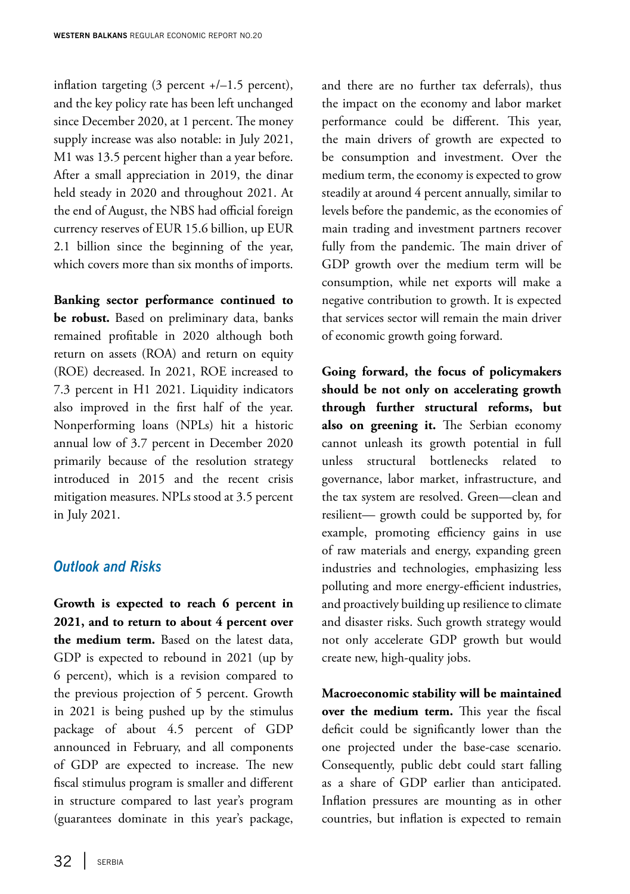inflation targeting  $(3 \text{ percent } +/-1.5 \text{ percent})$ , and the key policy rate has been left unchanged since December 2020, at 1 percent. The money supply increase was also notable: in July 2021, M1 was 13.5 percent higher than a year before. After a small appreciation in 2019, the dinar held steady in 2020 and throughout 2021. At the end of August, the NBS had official foreign currency reserves of EUR 15.6 billion, up EUR 2.1 billion since the beginning of the year, which covers more than six months of imports.

**Banking sector performance continued to be robust.** Based on preliminary data, banks remained profitable in 2020 although both return on assets (ROA) and return on equity (ROE) decreased. In 2021, ROE increased to 7.3 percent in H1 2021. Liquidity indicators also improved in the first half of the year. Nonperforming loans (NPLs) hit a historic annual low of 3.7 percent in December 2020 primarily because of the resolution strategy introduced in 2015 and the recent crisis mitigation measures. NPLs stood at 3.5 percent in July 2021.

### *Outlook and Risks*

**Growth is expected to reach 6 percent in 2021, and to return to about 4 percent over the medium term.** Based on the latest data, GDP is expected to rebound in 2021 (up by 6 percent), which is a revision compared to the previous projection of 5 percent. Growth in 2021 is being pushed up by the stimulus package of about 4.5 percent of GDP announced in February, and all components of GDP are expected to increase. The new fiscal stimulus program is smaller and different in structure compared to last year's program (guarantees dominate in this year's package,

and there are no further tax deferrals), thus the impact on the economy and labor market performance could be different. This year, the main drivers of growth are expected to be consumption and investment. Over the medium term, the economy is expected to grow steadily at around 4 percent annually, similar to levels before the pandemic, as the economies of main trading and investment partners recover fully from the pandemic. The main driver of GDP growth over the medium term will be consumption, while net exports will make a negative contribution to growth. It is expected that services sector will remain the main driver of economic growth going forward.

**Going forward, the focus of policymakers should be not only on accelerating growth through further structural reforms, but also on greening it.** The Serbian economy cannot unleash its growth potential in full unless structural bottlenecks related to governance, labor market, infrastructure, and the tax system are resolved. Green—clean and resilient— growth could be supported by, for example, promoting efficiency gains in use of raw materials and energy, expanding green industries and technologies, emphasizing less polluting and more energy-efficient industries, and proactively building up resilience to climate and disaster risks. Such growth strategy would not only accelerate GDP growth but would create new, high-quality jobs.

**Macroeconomic stability will be maintained over the medium term.** This year the fiscal deficit could be significantly lower than the one projected under the base-case scenario. Consequently, public debt could start falling as a share of GDP earlier than anticipated. Inflation pressures are mounting as in other countries, but inflation is expected to remain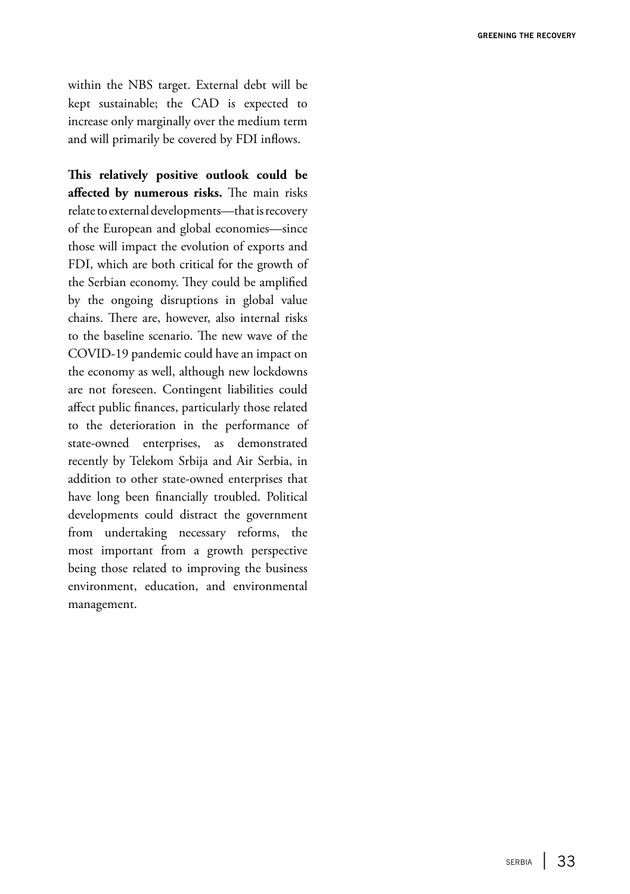within the NBS target. External debt will be kept sustainable; the CAD is expected to increase only marginally over the medium term and will primarily be covered by FDI inflows.

**This relatively positive outlook could be affected by numerous risks.** The main risks relate to external developments—that is recovery of the European and global economies—since those will impact the evolution of exports and FDI, which are both critical for the growth of the Serbian economy. They could be amplified by the ongoing disruptions in global value chains. There are, however, also internal risks to the baseline scenario. The new wave of the COVID-19 pandemic could have an impact on the economy as well, although new lockdowns are not foreseen. Contingent liabilities could affect public finances, particularly those related to the deterioration in the performance of state-owned enterprises, as demonstrated recently by Telekom Srbija and Air Serbia, in addition to other state-owned enterprises that have long been financially troubled. Political developments could distract the government from undertaking necessary reforms, the most important from a growth perspective being those related to improving the business environment, education, and environmental management.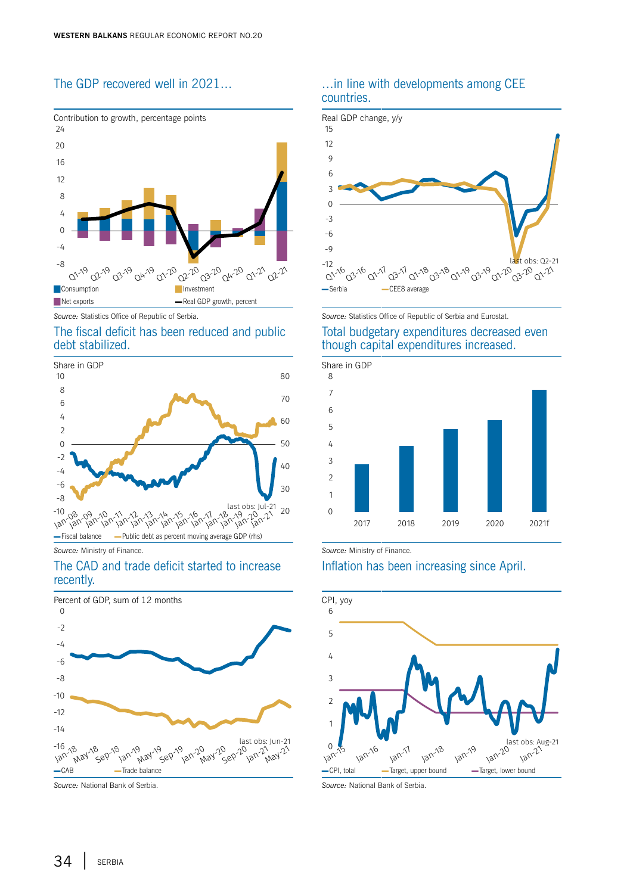



#### The fiscal deficit has been reduced and public debt stabilized.



The CAD and trade deficit started to increase recently.



#### The GDP recovered well in 2021… …in line with developments among CEE countries.



*Source:* Statistics Office of Republic of Serbia. *Source:* Statistics Office of Republic of Serbia and Eurostat. Total budgetary expenditures decreased even though capital expenditures increased.



*Source:* Ministry of Finance. *Source:* Ministry of Finance.

#### Inflation has been increasing since April.



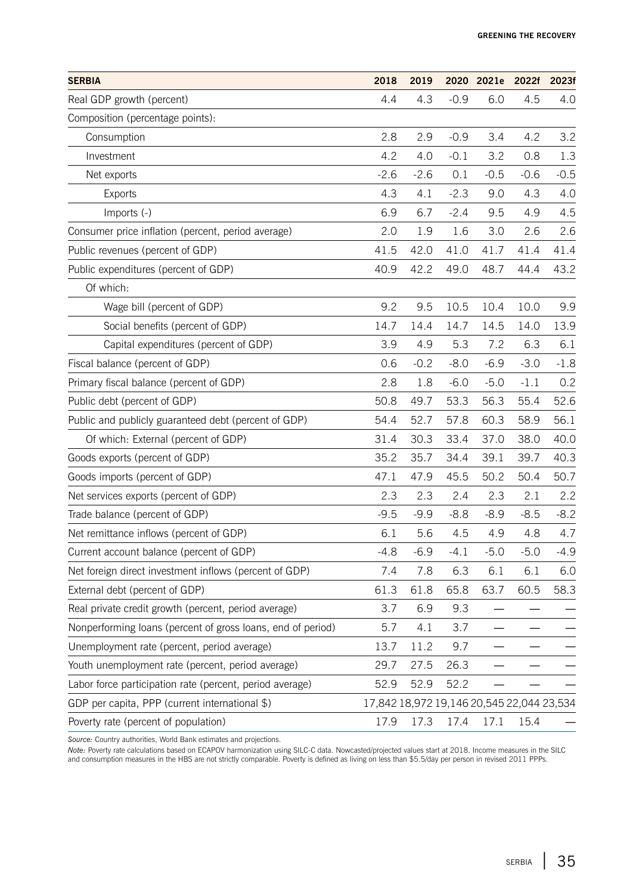| <b>SERBIA</b>                                               | 2018                                      | 2019   |        | 2020 2021e | 2022f  | 2023f  |
|-------------------------------------------------------------|-------------------------------------------|--------|--------|------------|--------|--------|
| Real GDP growth (percent)                                   | 4.4                                       | 4.3    | $-0.9$ | 6.0        | 4.5    | 4.0    |
| Composition (percentage points):                            |                                           |        |        |            |        |        |
| Consumption                                                 | 2.8                                       | 2.9    | $-0.9$ | 3.4        | 4.2    | 3.2    |
| Investment                                                  | 4.2                                       | 4.0    | $-0.1$ | 3.2        | 0.8    | 1.3    |
| Net exports                                                 | $-2.6$                                    | $-2.6$ | 0.1    | $-0.5$     | $-0.6$ | $-0.5$ |
| <b>Exports</b>                                              | 4.3                                       | 4.1    | $-2.3$ | 9.0        | 4.3    | 4.0    |
| Imports (-)                                                 | 6.9                                       | 6.7    | $-2.4$ | 9.5        | 4.9    | 4.5    |
| Consumer price inflation (percent, period average)          | 2.0                                       | 1.9    | 1.6    | 3.0        | 2.6    | 2.6    |
| Public revenues (percent of GDP)                            | 41.5                                      | 42.0   | 41.0   | 41.7       | 41.4   | 41.4   |
| Public expenditures (percent of GDP)                        | 40.9                                      | 42.2   | 49.0   | 48.7       | 44.4   | 43.2   |
| Of which:                                                   |                                           |        |        |            |        |        |
| Wage bill (percent of GDP)                                  | 9.2                                       | 9.5    | 10.5   | 10.4       | 10.0   | 9.9    |
| Social benefits (percent of GDP)                            | 14.7                                      | 14.4   | 14.7   | 14.5       | 14.0   | 13.9   |
| Capital expenditures (percent of GDP)                       | 3.9                                       | 4.9    | 5.3    | 7.2        | 6.3    | 6.1    |
| Fiscal balance (percent of GDP)                             | 0.6                                       | $-0.2$ | $-8.0$ | $-6.9$     | $-3.0$ | $-1.8$ |
| Primary fiscal balance (percent of GDP)                     | 2.8                                       | 1.8    | $-6.0$ | $-5.0$     | $-1.1$ | 0.2    |
| Public debt (percent of GDP)                                | 50.8                                      | 49.7   | 53.3   | 56.3       | 55.4   | 52.6   |
| Public and publicly guaranteed debt (percent of GDP)        | 54.4                                      | 52.7   | 57.8   | 60.3       | 58.9   | 56.1   |
| Of which: External (percent of GDP)                         | 31.4                                      | 30.3   | 33.4   | 37.0       | 38.0   | 40.0   |
| Goods exports (percent of GDP)                              | 35.2                                      | 35.7   | 34.4   | 39.1       | 39.7   | 40.3   |
| Goods imports (percent of GDP)                              | 47.1                                      | 47.9   | 45.5   | 50.2       | 50.4   | 50.7   |
| Net services exports (percent of GDP)                       | 2.3                                       | 2.3    | 2.4    | 2.3        | 2.1    | 2.2    |
| Trade balance (percent of GDP)                              | $-9.5$                                    | $-9.9$ | $-8.8$ | $-8.9$     | $-8.5$ | $-8.2$ |
| Net remittance inflows (percent of GDP)                     | 6.1                                       | 5.6    | 4.5    | 4.9        | 4.8    | 4.7    |
| Current account balance (percent of GDP)                    | $-4.8$                                    | $-6.9$ | $-4.1$ | $-5.0$     | $-5.0$ | $-4.9$ |
| Net foreign direct investment inflows (percent of GDP)      | 7.4                                       | 7.8    | 6.3    | 6.1        | 6.1    | 6.0    |
| External debt (percent of GDP)                              | 61.3                                      | 61.8   | 65.8   | 63.7       | 60.5   | 58.3   |
| Real private credit growth (percent, period average)        | 3.7                                       | 6.9    | 9.3    |            |        |        |
| Nonperforming loans (percent of gross loans, end of period) | 5.7                                       | 4.1    | 3.7    | $\equiv$   |        |        |
| Unemployment rate (percent, period average)                 | 13.7                                      | 11.2   | 9.7    |            |        |        |
| Youth unemployment rate (percent, period average)           | 29.7                                      | 27.5   | 26.3   |            |        |        |
| Labor force participation rate (percent, period average)    | 52.9                                      | 52.9   | 52.2   |            |        |        |
| GDP per capita, PPP (current international \$)              | 17,842 18,972 19,146 20,545 22,044 23,534 |        |        |            |        |        |
| Poverty rate (percent of population)                        | 17.9                                      | 17.3   | 17.4   | 17.1       | 15.4   |        |

*Source:* Country authorities, World Bank estimates and projections.

*Note: P*overty rate calculations based on ECAPOV harmonization using SILC-C data. Nowcasted/projected values start at 2018. Income measures in the SILC<br>and consumption measures in the HBS are not strictly comparable. Pove